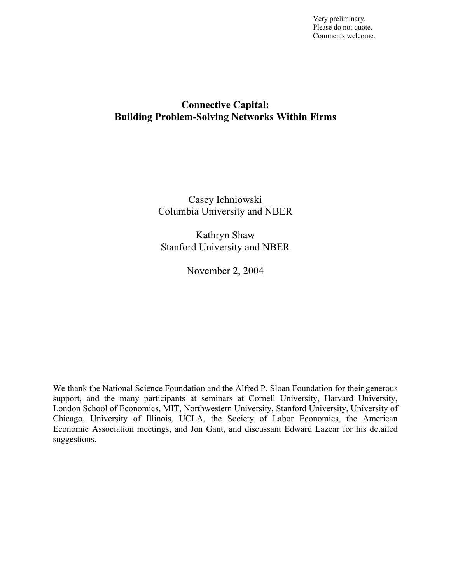Very preliminary. Please do not quote. Comments welcome.

# **Connective Capital: Building Problem-Solving Networks Within Firms**

Casey Ichniowski Columbia University and NBER

Kathryn Shaw Stanford University and NBER

November 2, 2004

We thank the National Science Foundation and the Alfred P. Sloan Foundation for their generous support, and the many participants at seminars at Cornell University, Harvard University, London School of Economics, MIT, Northwestern University, Stanford University, University of Chicago, University of Illinois, UCLA, the Society of Labor Economics, the American Economic Association meetings, and Jon Gant, and discussant Edward Lazear for his detailed suggestions.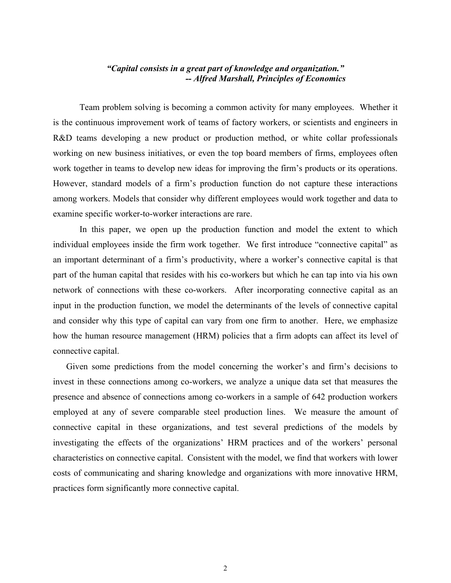## *"Capital consists in a great part of knowledge and organization." -- Alfred Marshall, Principles of Economics*

Team problem solving is becoming a common activity for many employees. Whether it is the continuous improvement work of teams of factory workers, or scientists and engineers in R&D teams developing a new product or production method, or white collar professionals working on new business initiatives, or even the top board members of firms, employees often work together in teams to develop new ideas for improving the firm's products or its operations. However, standard models of a firm's production function do not capture these interactions among workers. Models that consider why different employees would work together and data to examine specific worker-to-worker interactions are rare.

In this paper, we open up the production function and model the extent to which individual employees inside the firm work together. We first introduce "connective capital" as an important determinant of a firm's productivity, where a worker's connective capital is that part of the human capital that resides with his co-workers but which he can tap into via his own network of connections with these co-workers. After incorporating connective capital as an input in the production function, we model the determinants of the levels of connective capital and consider why this type of capital can vary from one firm to another. Here, we emphasize how the human resource management (HRM) policies that a firm adopts can affect its level of connective capital.

Given some predictions from the model concerning the worker's and firm's decisions to invest in these connections among co-workers, we analyze a unique data set that measures the presence and absence of connections among co-workers in a sample of 642 production workers employed at any of severe comparable steel production lines. We measure the amount of connective capital in these organizations, and test several predictions of the models by investigating the effects of the organizations' HRM practices and of the workers' personal characteristics on connective capital. Consistent with the model, we find that workers with lower costs of communicating and sharing knowledge and organizations with more innovative HRM, practices form significantly more connective capital.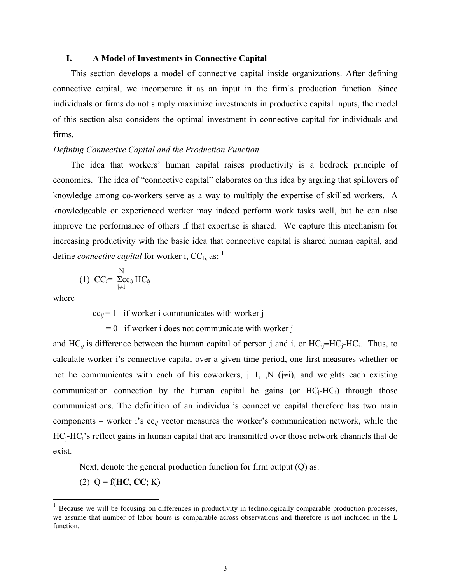#### **I. A Model of Investments in Connective Capital**

This section develops a model of connective capital inside organizations. After defining connective capital, we incorporate it as an input in the firm's production function. Since individuals or firms do not simply maximize investments in productive capital inputs, the model of this section also considers the optimal investment in connective capital for individuals and firms.

## *Defining Connective Capital and the Production Function*

The idea that workers' human capital raises productivity is a bedrock principle of economics. The idea of "connective capital" elaborates on this idea by arguing that spillovers of knowledge among co-workers serve as a way to multiply the expertise of skilled workers. A knowledgeable or experienced worker may indeed perform work tasks well, but he can also improve the performance of others if that expertise is shared. We capture this mechanism for increasing productivity with the basic idea that connective capital is shared human capital, and define *connective capital* for worker i, CC<sub>i</sub>, as: <sup>1</sup>

$$
(1) CCi = \sum_{j \neq i}^{N} HC_{ij}
$$

where

 $\overline{a}$ 

 $cc_{ij} = 1$  if worker i communicates with worker j

 $= 0$  if worker i does not communicate with worker j

and  $HC_{ii}$  is difference between the human capital of person j and i, or  $HC_{ii} \equiv HC_i$ -HC<sub>i</sub>. Thus, to calculate worker i's connective capital over a given time period, one first measures whether or not he communicates with each of his coworkers,  $j=1,...,N$  ( $j\neq i$ ), and weights each existing communication connection by the human capital he gains (or  $HC_i-HC_i$ ) through those communications. The definition of an individual's connective capital therefore has two main components – worker i's cc*ij* vector measures the worker's communication network, while the HC<sub>i</sub>-HC<sub>i</sub>'s reflect gains in human capital that are transmitted over those network channels that do exist.

Next, denote the general production function for firm output (O) as:

(2)  $Q = f(HC, CC; K)$ 

<span id="page-2-0"></span><sup>1</sup> Because we will be focusing on differences in productivity in technologically comparable production processes, we assume that number of labor hours is comparable across observations and therefore is not included in the L function.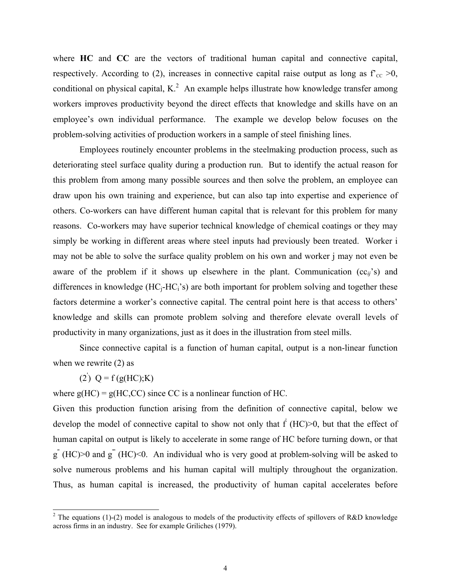where **HC** and **CC** are the vectors of traditional human capital and connective capital, respectively. According to (2), increases in connective capital raise output as long as  $f_{CC} \ge 0$ , conditional on physical capital, K.<sup>[2](#page-3-0)</sup> An example helps illustrate how knowledge transfer among workers improves productivity beyond the direct effects that knowledge and skills have on an employee's own individual performance. The example we develop below focuses on the problem-solving activities of production workers in a sample of steel finishing lines.

Employees routinely encounter problems in the steelmaking production process, such as deteriorating steel surface quality during a production run. But to identify the actual reason for this problem from among many possible sources and then solve the problem, an employee can draw upon his own training and experience, but can also tap into expertise and experience of others. Co-workers can have different human capital that is relevant for this problem for many reasons. Co-workers may have superior technical knowledge of chemical coatings or they may simply be working in different areas where steel inputs had previously been treated. Worker i may not be able to solve the surface quality problem on his own and worker j may not even be aware of the problem if it shows up elsewhere in the plant. Communication  $(cc_{ii}^{\prime}s)$  and differences in knowledge  $(HC_i-HC_i^s)$  are both important for problem solving and together these factors determine a worker's connective capital. The central point here is that access to others' knowledge and skills can promote problem solving and therefore elevate overall levels of productivity in many organizations, just as it does in the illustration from steel mills.

Since connective capital is a function of human capital, output is a non-linear function when we rewrite (2) as

(2)  $Q = f(g(HC);K)$ 

where  $g(HC) = g(HC, CC)$  since CC is a nonlinear function of HC.

Given this production function arising from the definition of connective capital, below we develop the model of connective capital to show not only that  $f'(HC) > 0$ , but that the effect of human capital on output is likely to accelerate in some range of HC before turning down, or that  $g''$  (HC) $>0$  and  $g'''$  (HC) $<$ 0. An individual who is very good at problem-solving will be asked to solve numerous problems and his human capital will multiply throughout the organization. Thus, as human capital is increased, the productivity of human capital accelerates before

<span id="page-3-0"></span> $\frac{1}{2}$ <sup>2</sup> The equations (1)-(2) model is analogous to models of the productivity effects of spillovers of R&D knowledge across firms in an industry. See for example Griliches (1979).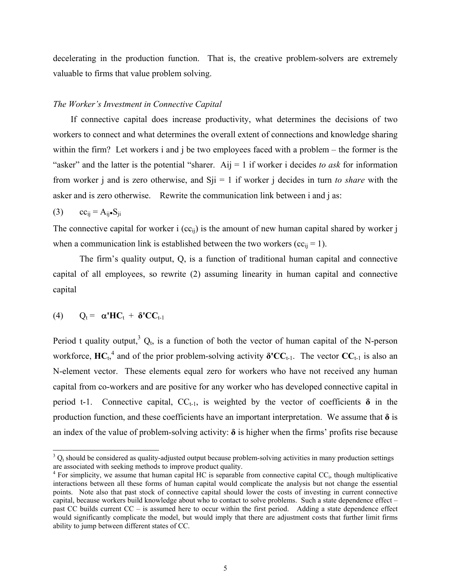decelerating in the production function. That is, the creative problem-solvers are extremely valuable to firms that value problem solving.

#### *The Worker's Investment in Connective Capital*

If connective capital does increase productivity, what determines the decisions of two workers to connect and what determines the overall extent of connections and knowledge sharing within the firm? Let workers i and j be two employees faced with a problem – the former is the "asker" and the latter is the potential "sharer. Aij = 1 if worker i decides *to ask* for information from worker j and is zero otherwise, and Sji = 1 if worker j decides in turn *to share* with the asker and is zero otherwise. Rewrite the communication link between i and j as:

$$
(3) \qquad cc_{ij} = A_{ij} \bullet S_{ji}
$$

The connective capital for worker i  $(cc_{ii})$  is the amount of new human capital shared by worker j when a communication link is established between the two workers ( $cc_{ii} = 1$ ).

The firm's quality output, Q, is a function of traditional human capital and connective capital of all employees, so rewrite (2) assuming linearity in human capital and connective capital

(4) 
$$
Q_t = \alpha' H C_t + \delta' C C_{t-1}
$$

Period t quality output,<sup>3</sup>  $Q_t$ , is a function of both the vector of human capital of the N-person workforce, $\textbf{HC}_{t}^{4}$  and of the prior problem-solving activity **δ**<sup>'</sup>CC<sub>t-1</sub>. The vector CC<sub>t-1</sub> is also an N-element vector. These elements equal zero for workers who have not received any human capital from co-workers and are positive for any worker who has developed connective capital in period t-1. Connective capital,  $CC_{t-1}$ , is weighted by the vector of coefficients  $\delta$  in the production function, and these coefficients have an important interpretation. We assume that  $\delta$  is an index of the value of problem-solving activity: **δ** is higher when the firms' profits rise because

<span id="page-4-0"></span> <sup>3</sup>  $3$  Q<sub>t</sub> should be considered as quality-adjusted output because problem-solving activities in many production settings are associated with seeking methods to improve product quality. 4

<span id="page-4-1"></span> $4$  For simplicity, we assume that human capital HC is separable from connective capital CC<sub>i</sub>, though multiplicative interactions between all these forms of human capital would complicate the analysis but not change the essential points. Note also that past stock of connective capital should lower the costs of investing in current connective capital, because workers build knowledge about who to contact to solve problems. Such a state dependence effect – past CC builds current CC – is assumed here to occur within the first period. Adding a state dependence effect would significantly complicate the model, but would imply that there are adjustment costs that further limit firms ability to jump between different states of CC.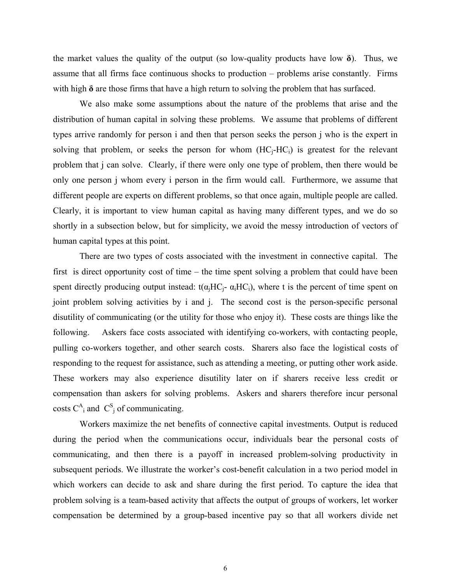the market values the quality of the output (so low-quality products have low  $\delta$ ). Thus, we assume that all firms face continuous shocks to production – problems arise constantly. Firms with high **δ** are those firms that have a high return to solving the problem that has surfaced.

We also make some assumptions about the nature of the problems that arise and the distribution of human capital in solving these problems. We assume that problems of different types arrive randomly for person i and then that person seeks the person j who is the expert in solving that problem, or seeks the person for whom  $(HC_i-HC_i)$  is greatest for the relevant problem that j can solve. Clearly, if there were only one type of problem, then there would be only one person j whom every i person in the firm would call. Furthermore, we assume that different people are experts on different problems, so that once again, multiple people are called. Clearly, it is important to view human capital as having many different types, and we do so shortly in a subsection below, but for simplicity, we avoid the messy introduction of vectors of human capital types at this point.

There are two types of costs associated with the investment in connective capital. The first is direct opportunity cost of time – the time spent solving a problem that could have been spent directly producing output instead:  $t(\alpha_i HC_i - \alpha_i HC_i)$ , where t is the percent of time spent on joint problem solving activities by i and j. The second cost is the person-specific personal disutility of communicating (or the utility for those who enjoy it). These costs are things like the following. Askers face costs associated with identifying co-workers, with contacting people, pulling co-workers together, and other search costs. Sharers also face the logistical costs of responding to the request for assistance, such as attending a meeting, or putting other work aside. These workers may also experience disutility later on if sharers receive less credit or compensation than askers for solving problems. Askers and sharers therefore incur personal costs  $C_{i}^{A}$  and  $C_{j}^{S}$  of communicating.

Workers maximize the net benefits of connective capital investments. Output is reduced during the period when the communications occur, individuals bear the personal costs of communicating, and then there is a payoff in increased problem-solving productivity in subsequent periods. We illustrate the worker's cost-benefit calculation in a two period model in which workers can decide to ask and share during the first period. To capture the idea that problem solving is a team-based activity that affects the output of groups of workers, let worker compensation be determined by a group-based incentive pay so that all workers divide net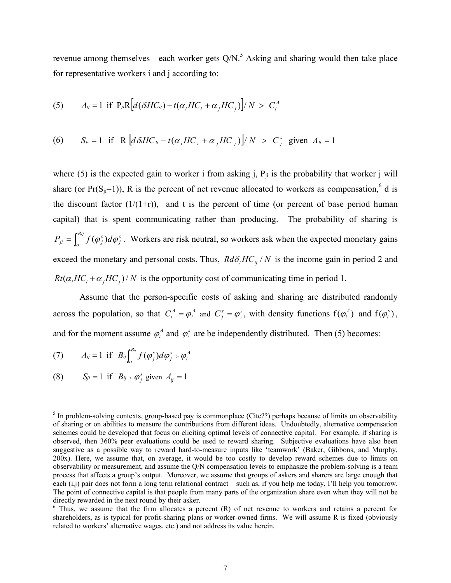revenue among themselves—each worker gets  $Q/N$ .<sup>[5](#page-6-0)</sup> Asking and sharing would then take place for representative workers i and j according to:

(5) 
$$
A_{ij} = 1 \text{ if } P_{ji}R[d(\delta H C_{ij}) - t(\alpha_i H C_i + \alpha_j H C_j)]/N > C_i^A
$$

(6) 
$$
S_{ji} = 1
$$
 if R  $\left[ d\delta H C_{ij} - t(\alpha_i H C_i + \alpha_j H C_j) \right] / N > C_j^s$  given  $A_{ij} = 1$ 

where (5) is the expected gain to worker i from asking j,  $P_{ii}$  is the probability that worker j will share (or  $Pr(S_{ji}=1)$ ), R is the percent of net revenue allocated to workers as compensation,<sup>6</sup> d is the discount factor  $(1/(1+r))$ , and t is the percent of time (or percent of base period human capital) that is spent communicating rather than producing. The probability of sharing is  $=\int_{o}^{Bij} f(\varphi_j^s) d\varphi_j^s$ . Workers are risk neutral, so workers ask when the expected monetary gains exceed the monetary and personal costs. Thus,  $R d\delta_i H C_{ij} / N$  is the income gain in period 2 and *s j*  $P_{ji} = \int_{a}^{by} f(\varphi_j^s) d\varphi_j$  $Rt(\alpha_i H C_i + \alpha_j H C_j)/N$  is the opportunity cost of communicating time in period 1.

Assume that the person-specific costs of asking and sharing are distributed randomly across the population, so that  $C_i^A = \varphi_i^A$  and  $C_i^s = \varphi_i^s$ , with density functions  $f(\varphi_i^A)$  and  $f(\varphi_i^s)$ , and for the moment assume  $\varphi_i^A$  and  $\varphi_i^s$  are be independently distributed. Then (5) becomes: *i*  $\varphi_i^A = \varphi_i^A$  and  $C_j^s = \varphi_j^s$  $C_j^s = \varphi_j^s$ , with density functions  $f(\varphi_i^A)$  and  $f(\varphi_i^s)$ 

(7) 
$$
A_{ij} = 1 \text{ if } B_{ij} \int_{o}^{B_{ij}} f(\varphi_j^s) d\varphi_j^s > \varphi_i^A
$$

(8)  $S_{ji} = 1$  if  $B_{ij} > \varphi_j^s$  given  $A_{ij} = 1$ 

<span id="page-6-0"></span> <sup>5</sup>  $<sup>5</sup>$  In problem-solving contexts, group-based pay is commonplace (Cite??) perhaps because of limits on observability</sup> of sharing or on abilities to measure the contributions from different ideas. Undoubtedly, alternative compensation schemes could be developed that focus on eliciting optimal levels of connective capital. For example, if sharing is observed, then 360% peer evaluations could be used to reward sharing. Subjective evaluations have also been suggestive as a possible way to reward hard-to-measure inputs like 'teamwork' (Baker, Gibbons, and Murphy, 200x). Here, we assume that, on average, it would be too costly to develop reward schemes due to limits on observability or measurement, and assume the Q/N compensation levels to emphasize the problem-solving is a team process that affects a group's output. Moreover, we assume that groups of askers and sharers are large enough that each  $(i,j)$  pair does not form a long term relational contract – such as, if you help me today, I'll help you tomorrow. The point of connective capital is that people from many parts of the organization share even when they will not be directly rewarded in the next round by their asker.

<span id="page-6-1"></span> $6$  Thus, we assume that the firm allocates a percent  $(R)$  of net revenue to workers and retains a percent for shareholders, as is typical for profit-sharing plans or worker-owned firms. We will assume R is fixed (obviously related to workers' alternative wages, etc.) and not address its value herein.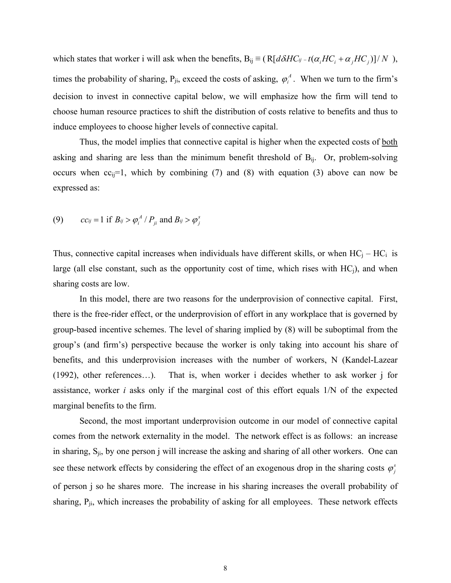which states that worker i will ask when the benefits,  $B_{ij} \equiv (R[d\delta H C_{ij} - t(\alpha_i H C_i + \alpha_j H C_j)]/N)$ , times the probability of sharing,  $P_{ji}$ , exceed the costs of asking,  $\varphi_i^A$ . When we turn to the firm's decision to invest in connective capital below, we will emphasize how the firm will tend to choose human resource practices to shift the distribution of costs relative to benefits and thus to induce employees to choose higher levels of connective capital.

Thus, the model implies that connective capital is higher when the expected costs of both asking and sharing are less than the minimum benefit threshold of  $B_{ij}$ . Or, problem-solving occurs when  $cc_{ii}=1$ , which by combining (7) and (8) with equation (3) above can now be expressed as:

(9) 
$$
cc_{ij} = 1 \text{ if } B_{ij} > \varphi_i^A / P_{ji} \text{ and } B_{ij} > \varphi_j^s
$$

Thus, connective capital increases when individuals have different skills, or when  $HC_i - HC_i$  is large (all else constant, such as the opportunity cost of time, which rises with  $HC_i$ ), and when sharing costs are low.

In this model, there are two reasons for the underprovision of connective capital. First, there is the free-rider effect, or the underprovision of effort in any workplace that is governed by group-based incentive schemes. The level of sharing implied by (8) will be suboptimal from the group's (and firm's) perspective because the worker is only taking into account his share of benefits, and this underprovision increases with the number of workers, N (Kandel-Lazear (1992), other references…). That is, when worker i decides whether to ask worker j for assistance, worker *i* asks only if the marginal cost of this effort equals 1/N of the expected marginal benefits to the firm.

Second, the most important underprovision outcome in our model of connective capital comes from the network externality in the model. The network effect is as follows: an increase in sharing,  $S_{ji}$ , by one person j will increase the asking and sharing of all other workers. One can see these network effects by considering the effect of an exogenous drop in the sharing costs  $\varphi_j^s$ of person j so he shares more. The increase in his sharing increases the overall probability of sharing,  $P_{ji}$ , which increases the probability of asking for all employees. These network effects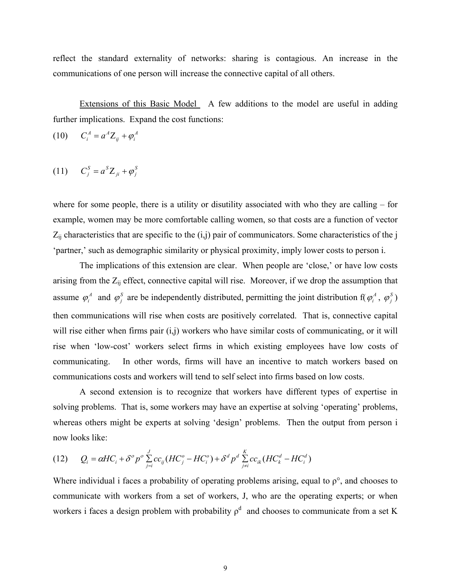reflect the standard externality of networks: sharing is contagious. An increase in the communications of one person will increase the connective capital of all others.

Extensions of this Basic Model A few additions to the model are useful in adding further implications. Expand the cost functions:

$$
(10) \tC_i^A = a^A Z_{ij} + \varphi_i^A
$$

$$
(11) \qquad C_j^S = a^S Z_{ji} + \varphi_j^S
$$

where for some people, there is a utility or disutility associated with who they are calling – for example, women may be more comfortable calling women, so that costs are a function of vector  $Z_{ij}$  characteristics that are specific to the  $(i,j)$  pair of communicators. Some characteristics of the j 'partner,' such as demographic similarity or physical proximity, imply lower costs to person i.

The implications of this extension are clear. When people are 'close,' or have low costs arising from the  $Z_{ij}$  effect, connective capital will rise. Moreover, if we drop the assumption that assume  $\varphi_i^A$  and  $\varphi_j^S$  are be independently distributed, permitting the joint distribution  $f(\varphi_i^A, \varphi_j^S)$ then communications will rise when costs are positively correlated. That is, connective capital will rise either when firms pair (i,j) workers who have similar costs of communicating, or it will rise when 'low-cost' workers select firms in which existing employees have low costs of communicating. In other words, firms will have an incentive to match workers based on communications costs and workers will tend to self select into firms based on low costs.

A second extension is to recognize that workers have different types of expertise in solving problems. That is, some workers may have an expertise at solving 'operating' problems, whereas others might be experts at solving 'design' problems. Then the output from person i now looks like:

(12) 
$$
Q_i = \alpha H C_i + \delta^o p^o \sum_{j=i}^{J} cc_{ij} (HC_j^o - HC_i^o) + \delta^d p^d \sum_{j \neq i}^{K} cc_{ik} (HC_k^d - HC_i^d)
$$

Where individual i faces a probability of operating problems arising, equal to  $\rho^{\circ}$ , and chooses to communicate with workers from a set of workers, J, who are the operating experts; or when workers i faces a design problem with probability  $\rho^d$  and chooses to communicate from a set K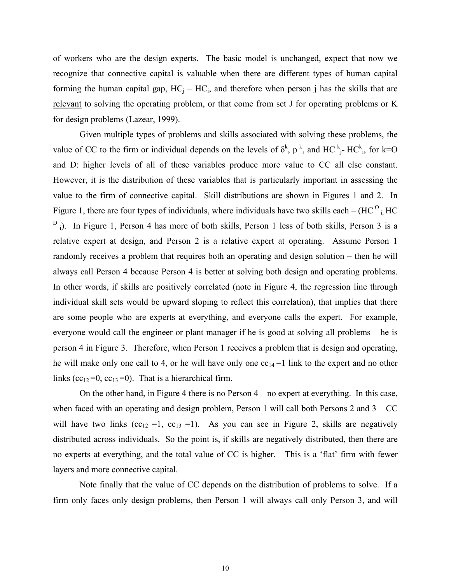of workers who are the design experts. The basic model is unchanged, expect that now we recognize that connective capital is valuable when there are different types of human capital forming the human capital gap,  $HC_i - HC_i$ , and therefore when person j has the skills that are relevant to solving the operating problem, or that come from set J for operating problems or K for design problems (Lazear, 1999).

Given multiple types of problems and skills associated with solving these problems, the value of CC to the firm or individual depends on the levels of  $\delta^k$ ,  $p^k$ , and HC  $k^+$ -HC $k^+$ , for k=O and D: higher levels of all of these variables produce more value to CC all else constant. However, it is the distribution of these variables that is particularly important in assessing the value to the firm of connective capital. Skill distributions are shown in Figures 1 and 2. In Figure 1, there are four types of individuals, where individuals have two skills each –  $(HC<sup>O</sup>)$ <sub>i</sub>, HC <sup>D</sup><sub>i</sub>). In Figure 1, Person 4 has more of both skills, Person 1 less of both skills, Person 3 is a relative expert at design, and Person 2 is a relative expert at operating. Assume Person 1 randomly receives a problem that requires both an operating and design solution – then he will always call Person 4 because Person 4 is better at solving both design and operating problems. In other words, if skills are positively correlated (note in Figure 4, the regression line through individual skill sets would be upward sloping to reflect this correlation), that implies that there are some people who are experts at everything, and everyone calls the expert. For example, everyone would call the engineer or plant manager if he is good at solving all problems – he is person 4 in Figure 3. Therefore, when Person 1 receives a problem that is design and operating, he will make only one call to 4, or he will have only one  $cc_{14} = 1$  link to the expert and no other links (cc<sub>12</sub>=0, cc<sub>13</sub>=0). That is a hierarchical firm.

On the other hand, in Figure 4 there is no Person 4 – no expert at everything. In this case, when faced with an operating and design problem, Person 1 will call both Persons 2 and  $3 - CC$ will have two links  $(cc_{12} = 1, cc_{13} = 1)$ . As you can see in Figure 2, skills are negatively distributed across individuals. So the point is, if skills are negatively distributed, then there are no experts at everything, and the total value of CC is higher. This is a 'flat' firm with fewer layers and more connective capital.

Note finally that the value of CC depends on the distribution of problems to solve. If a firm only faces only design problems, then Person 1 will always call only Person 3, and will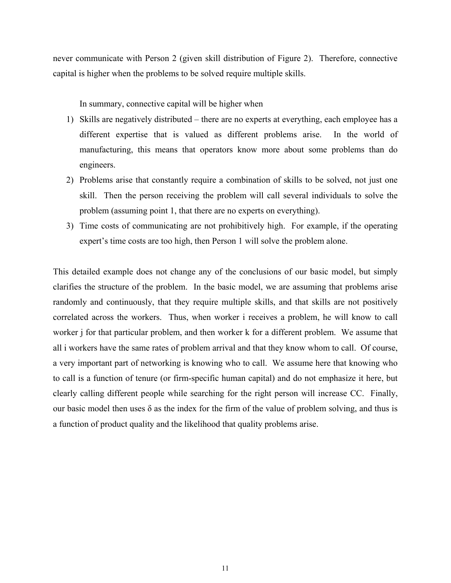never communicate with Person 2 (given skill distribution of Figure 2). Therefore, connective capital is higher when the problems to be solved require multiple skills.

In summary, connective capital will be higher when

- 1) Skills are negatively distributed there are no experts at everything, each employee has a different expertise that is valued as different problems arise. In the world of manufacturing, this means that operators know more about some problems than do engineers.
- 2) Problems arise that constantly require a combination of skills to be solved, not just one skill. Then the person receiving the problem will call several individuals to solve the problem (assuming point 1, that there are no experts on everything).
- 3) Time costs of communicating are not prohibitively high. For example, if the operating expert's time costs are too high, then Person 1 will solve the problem alone.

This detailed example does not change any of the conclusions of our basic model, but simply clarifies the structure of the problem. In the basic model, we are assuming that problems arise randomly and continuously, that they require multiple skills, and that skills are not positively correlated across the workers. Thus, when worker i receives a problem, he will know to call worker j for that particular problem, and then worker k for a different problem. We assume that all i workers have the same rates of problem arrival and that they know whom to call. Of course, a very important part of networking is knowing who to call. We assume here that knowing who to call is a function of tenure (or firm-specific human capital) and do not emphasize it here, but clearly calling different people while searching for the right person will increase CC. Finally, our basic model then uses  $\delta$  as the index for the firm of the value of problem solving, and thus is a function of product quality and the likelihood that quality problems arise.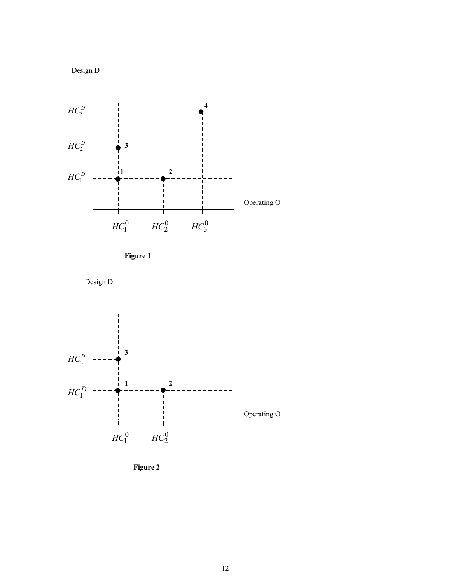



**Figure 1** 





**Figure 2**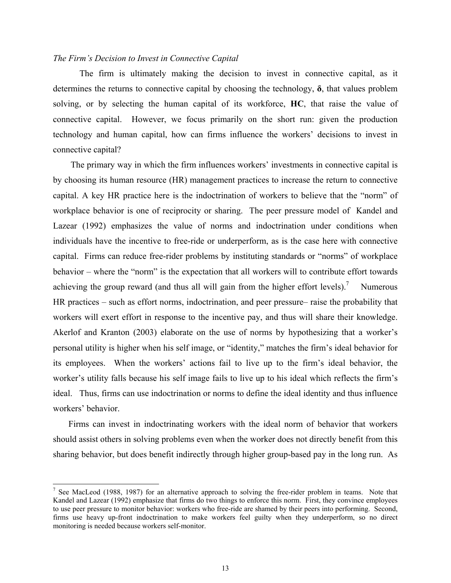#### *The Firm's Decision to Invest in Connective Capital*

The firm is ultimately making the decision to invest in connective capital, as it determines the returns to connective capital by choosing the technology, **δ**, that values problem solving, or by selecting the human capital of its workforce, **HC**, that raise the value of connective capital. However, we focus primarily on the short run: given the production technology and human capital, how can firms influence the workers' decisions to invest in connective capital?

The primary way in which the firm influences workers' investments in connective capital is by choosing its human resource (HR) management practices to increase the return to connective capital. A key HR practice here is the indoctrination of workers to believe that the "norm" of workplace behavior is one of reciprocity or sharing. The peer pressure model of Kandel and Lazear (1992) emphasizes the value of norms and indoctrination under conditions when individuals have the incentive to free-ride or underperform, as is the case here with connective capital. Firms can reduce free-rider problems by instituting standards or "norms" of workplace behavior – where the "norm" is the expectation that all workers will to contribute effort towards achieving the group reward (and thus all will gain from the higher effort levels).<sup>7</sup> Numerous HR practices – such as effort norms, indoctrination, and peer pressure– raise the probability that workers will exert effort in response to the incentive pay, and thus will share their knowledge. Akerlof and Kranton (2003) elaborate on the use of norms by hypothesizing that a worker's personal utility is higher when his self image, or "identity," matches the firm's ideal behavior for its employees. When the workers' actions fail to live up to the firm's ideal behavior, the worker's utility falls because his self image fails to live up to his ideal which reflects the firm's ideal. Thus, firms can use indoctrination or norms to define the ideal identity and thus influence workers' behavior.

Firms can invest in indoctrinating workers with the ideal norm of behavior that workers should assist others in solving problems even when the worker does not directly benefit from this sharing behavior, but does benefit indirectly through higher group-based pay in the long run. As

<span id="page-12-0"></span><sup>7</sup> <sup>7</sup> See MacLeod (1988, 1987) for an alternative approach to solving the free-rider problem in teams. Note that Kandel and Lazear (1992) emphasize that firms do two things to enforce this norm. First, they convince employees to use peer pressure to monitor behavior: workers who free-ride are shamed by their peers into performing. Second, firms use heavy up-front indoctrination to make workers feel guilty when they underperform, so no direct monitoring is needed because workers self-monitor.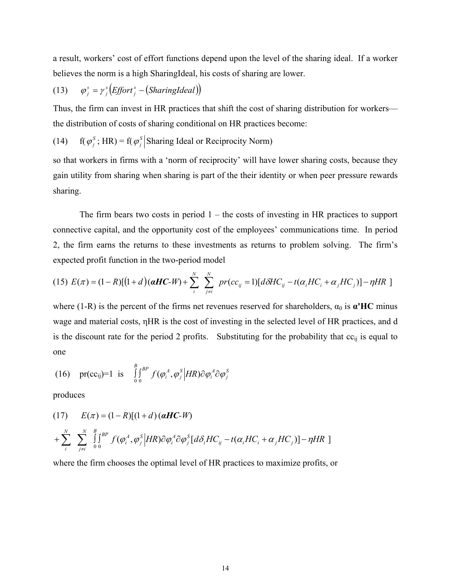a result, workers' cost of effort functions depend upon the level of the sharing ideal. If a worker believes the norm is a high SharingIdeal, his costs of sharing are lower.

(13) 
$$
\varphi_j^s = \gamma_j^s \big( \text{Effort}_j^s - \big( \text{SharingIdeal} \big) \big)
$$

Thus, the firm can invest in HR practices that shift the cost of sharing distribution for workers the distribution of costs of sharing conditional on HR practices become:

(14) 
$$
f(\varphi_j^S; HR) = f(\varphi_j^S)
$$
 Sharing Ideal or Reciprocity Norm)

so that workers in firms with a 'norm of reciprocity' will have lower sharing costs, because they gain utility from sharing when sharing is part of the their identity or when peer pressure rewards sharing.

The firm bears two costs in period  $1 -$  the costs of investing in HR practices to support connective capital, and the opportunity cost of the employees' communications time. In period 2, the firm earns the returns to these investments as returns to problem solving. The firm's expected profit function in the two-period model

(15) 
$$
E(\pi) = (1 - R)[(1 + d)(\boldsymbol{\alpha}H\boldsymbol{C} - W) + \sum_{i}^{N} \sum_{j \neq i}^{N} pr(cc_{ij} = 1)[d\delta H C_{ij} - t(\alpha_i H C_i + \alpha_j H C_j)] - \eta H R]
$$

where (1-R) is the percent of the firms net revenues reserved for shareholders,  $\alpha_0$  is  $\alpha'$ HC minus wage and material costs, ηHR is the cost of investing in the selected level of HR practices, and d is the discount rate for the period 2 profits. Substituting for the probability that  $cc<sub>ii</sub>$  is equal to one

(16) 
$$
\text{pr}(cc_{ij})=1
$$
 is  $\int_{0}^{B} \int_{0}^{BP} f(\varphi_i^A, \varphi_j^S | HR) \partial \varphi_i^A \partial \varphi_j^S$ 

produces

(17) 
$$
E(\pi) = (1 - R)[(1 + d) (\boldsymbol{\alpha} H\boldsymbol{C} - \boldsymbol{W})
$$

$$
+ \sum_{i}^{N} \sum_{j \neq i}^{N} \int_{0}^{B} \int_{0}^{BP} f(\varphi_{i}^{A}, \varphi_{j}^{S}|HR) \partial \varphi_{i}^{A} \partial \varphi_{j}^{S}[d\delta_{i}HC_{ij} - t(\alpha_{i}HC_{i} + \alpha_{j}HC_{j})] - \eta HR ]
$$

where the firm chooses the optimal level of HR practices to maximize profits, or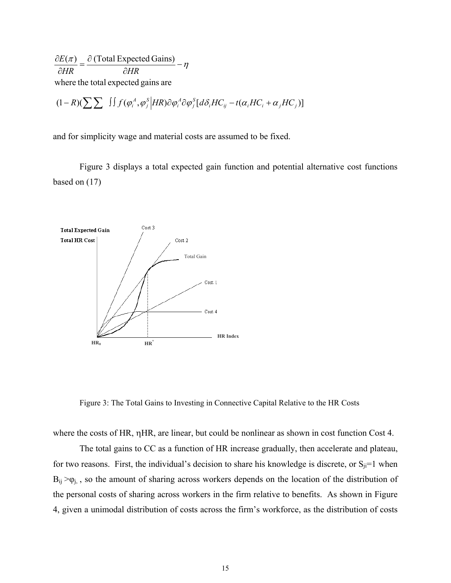where the total expected gains are  $(\pi)$   $\partial$  (Total Expected Gains) *HR HR*  $\frac{\partial E(\pi)}{\partial HR} = \frac{\partial (\text{Total Expected Gains})}{\partial HR} - \eta$ 

$$
(1 - R)(\sum \sum \int \int f(\varphi_i^A, \varphi_j^S) H R) \partial \varphi_i^A \partial \varphi_j^S [d\delta_i H C_{ij} - t(\alpha_i H C_i + \alpha_j H C_j)]
$$

and for simplicity wage and material costs are assumed to be fixed.

Figure 3 displays a total expected gain function and potential alternative cost functions based on (17)



Figure 3: The Total Gains to Investing in Connective Capital Relative to the HR Costs

where the costs of HR, ηHR, are linear, but could be nonlinear as shown in cost function Cost 4.

The total gains to CC as a function of HR increase gradually, then accelerate and plateau, for two reasons. First, the individual's decision to share his knowledge is discrete, or  $S_{ji}=1$  when  $B_{ij} > \varphi_{j}$ , so the amount of sharing across workers depends on the location of the distribution of the personal costs of sharing across workers in the firm relative to benefits. As shown in Figure 4, given a unimodal distribution of costs across the firm's workforce, as the distribution of costs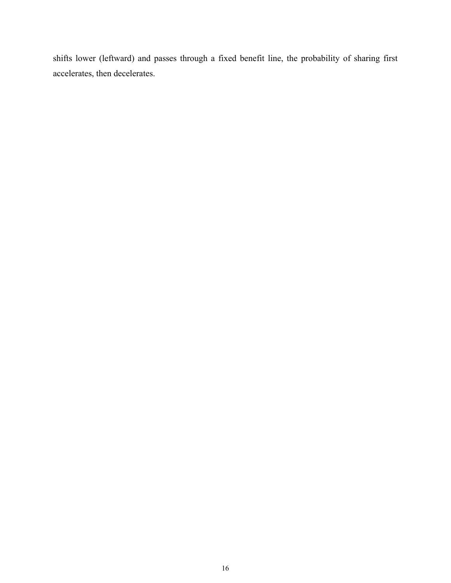shifts lower (leftward) and passes through a fixed benefit line, the probability of sharing first accelerates, then decelerates.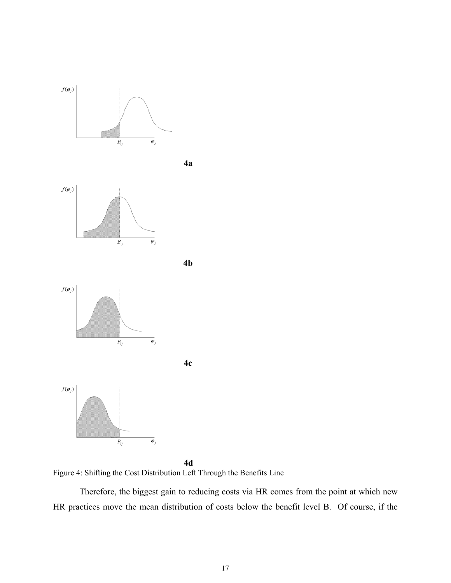

**4d**  Figure 4: Shifting the Cost Distribution Left Through the Benefits Line

Therefore, the biggest gain to reducing costs via HR comes from the point at which new HR practices move the mean distribution of costs below the benefit level B. Of course, if the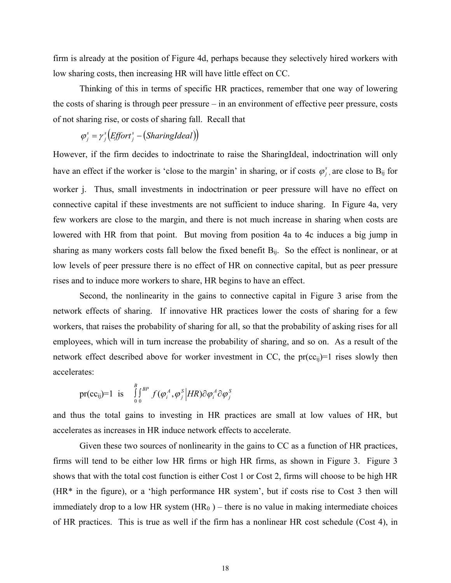firm is already at the position of Figure 4d, perhaps because they selectively hired workers with low sharing costs, then increasing HR will have little effect on CC.

Thinking of this in terms of specific HR practices, remember that one way of lowering the costs of sharing is through peer pressure – in an environment of effective peer pressure, costs of not sharing rise, or costs of sharing fall. Recall that

$$
\varphi_j^s = \gamma_j^s \big( \mathit{Effort}_j^s - \big( \mathit{SharingIdeal} \big) \big)
$$

However, if the firm decides to indoctrinate to raise the SharingIdeal, indoctrination will only have an effect if the worker is 'close to the margin' in sharing, or if costs  $\varphi_j^s$ , are close to B<sub>ij</sub> for worker j. Thus, small investments in indoctrination or peer pressure will have no effect on connective capital if these investments are not sufficient to induce sharing. In Figure 4a, very few workers are close to the margin, and there is not much increase in sharing when costs are lowered with HR from that point. But moving from position 4a to 4c induces a big jump in sharing as many workers costs fall below the fixed benefit  $B_{ii}$ . So the effect is nonlinear, or at low levels of peer pressure there is no effect of HR on connective capital, but as peer pressure rises and to induce more workers to share, HR begins to have an effect.

Second, the nonlinearity in the gains to connective capital in Figure 3 arise from the network effects of sharing. If innovative HR practices lower the costs of sharing for a few workers, that raises the probability of sharing for all, so that the probability of asking rises for all employees, which will in turn increase the probability of sharing, and so on. As a result of the network effect described above for worker investment in CC, the  $pr(cc_{ii})=1$  rises slowly then accelerates:

$$
\text{pr(cc}_{ij})=1 \text{ is } \int_{0}^{B} \int_{0}^{BP} f(\varphi_i^A, \varphi_j^S \Big| HR) \partial \varphi_i^A \partial \varphi_j^S
$$

and thus the total gains to investing in HR practices are small at low values of HR, but accelerates as increases in HR induce network effects to accelerate.

Given these two sources of nonlinearity in the gains to CC as a function of HR practices, firms will tend to be either low HR firms or high HR firms, as shown in Figure 3. Figure 3 shows that with the total cost function is either Cost 1 or Cost 2, firms will choose to be high HR (HR\* in the figure), or a 'high performance HR system', but if costs rise to Cost 3 then will immediately drop to a low HR system  $(HR_0)$  – there is no value in making intermediate choices of HR practices. This is true as well if the firm has a nonlinear HR cost schedule (Cost 4), in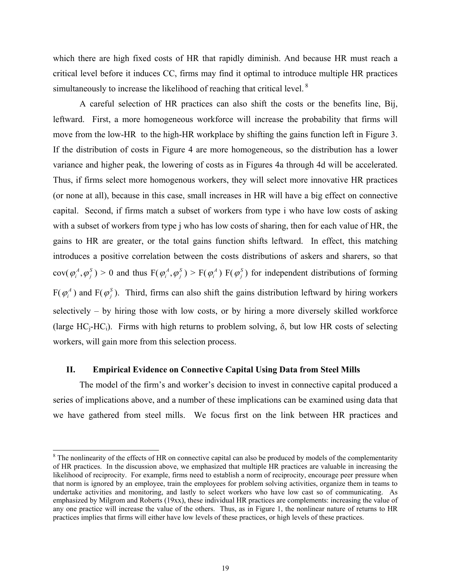which there are high fixed costs of HR that rapidly diminish. And because HR must reach a critical level before it induces CC, firms may find it optimal to introduce multiple HR practices simultaneously to increase the likelihood of reaching that critical level.<sup>8</sup>

A careful selection of HR practices can also shift the costs or the benefits line, Bij, leftward. First, a more homogeneous workforce will increase the probability that firms will move from the low-HR to the high-HR workplace by shifting the gains function left in Figure 3. If the distribution of costs in Figure 4 are more homogeneous, so the distribution has a lower variance and higher peak, the lowering of costs as in Figures 4a through 4d will be accelerated. Thus, if firms select more homogenous workers, they will select more innovative HR practices (or none at all), because in this case, small increases in HR will have a big effect on connective capital. Second, if firms match a subset of workers from type i who have low costs of asking with a subset of workers from type *j* who has low costs of sharing, then for each value of HR, the gains to HR are greater, or the total gains function shifts leftward. In effect, this matching introduces a positive correlation between the costs distributions of askers and sharers, so that  $cov(\varphi_i^A, \varphi_i^S) > 0$  and thus  $F(\varphi_i^A, \varphi_i^S) > F(\varphi_i^A) F(\varphi_i^S)$  for independent distributions of forming  $F(\varphi_i^A)$  and  $F(\varphi_i^S)$ . Third, firms can also shift the gains distribution leftward by hiring workers selectively – by hiring those with low costs, or by hiring a more diversely skilled workforce (large  $HC_i-HC_i$ ). Firms with high returns to problem solving,  $\delta$ , but low HR costs of selecting  $\varphi_i^A, \varphi_j^S$  > 0 and thus  $F(\varphi_i^A, \varphi_j^S)$  $\varphi_i^A$ ) and F( $\varphi_j^S$  $\varphi_i^A, \varphi_j^S$ ) > **F**( $\varphi_i^A$ ) **F**( $\varphi_j^S$ workers, will gain more from this selection process.

#### **II. Empirical Evidence on Connective Capital Using Data from Steel Mills**

l

The model of the firm's and worker's decision to invest in connective capital produced a series of implications above, and a number of these implications can be examined using data that we have gathered from steel mills. We focus first on the link between HR practices and

<span id="page-18-0"></span> $8$  The nonlinearity of the effects of HR on connective capital can also be produced by models of the complementarity of HR practices. In the discussion above, we emphasized that multiple HR practices are valuable in increasing the likelihood of reciprocity. For example, firms need to establish a norm of reciprocity, encourage peer pressure when that norm is ignored by an employee, train the employees for problem solving activities, organize them in teams to undertake activities and monitoring, and lastly to select workers who have low cast so of communicating. As emphasized by Milgrom and Roberts (19xx), these individual HR practices are complements: increasing the value of any one practice will increase the value of the others. Thus, as in Figure 1, the nonlinear nature of returns to HR practices implies that firms will either have low levels of these practices, or high levels of these practices.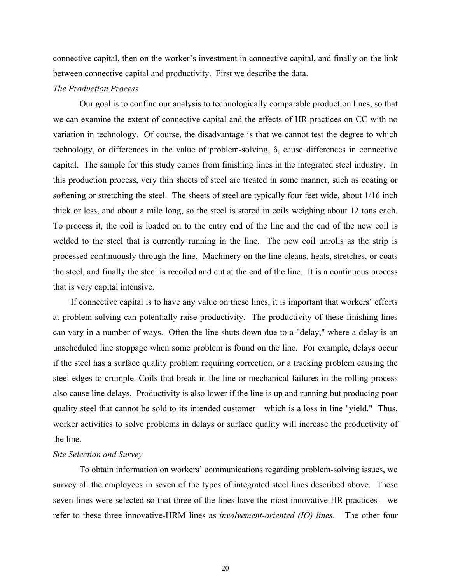connective capital, then on the worker's investment in connective capital, and finally on the link between connective capital and productivity. First we describe the data.

## *The Production Process*

Our goal is to confine our analysis to technologically comparable production lines, so that we can examine the extent of connective capital and the effects of HR practices on CC with no variation in technology. Of course, the disadvantage is that we cannot test the degree to which technology, or differences in the value of problem-solving, δ, cause differences in connective capital. The sample for this study comes from finishing lines in the integrated steel industry. In this production process, very thin sheets of steel are treated in some manner, such as coating or softening or stretching the steel. The sheets of steel are typically four feet wide, about 1/16 inch thick or less, and about a mile long, so the steel is stored in coils weighing about 12 tons each. To process it, the coil is loaded on to the entry end of the line and the end of the new coil is welded to the steel that is currently running in the line. The new coil unrolls as the strip is processed continuously through the line. Machinery on the line cleans, heats, stretches, or coats the steel, and finally the steel is recoiled and cut at the end of the line. It is a continuous process that is very capital intensive.

If connective capital is to have any value on these lines, it is important that workers' efforts at problem solving can potentially raise productivity. The productivity of these finishing lines can vary in a number of ways. Often the line shuts down due to a "delay," where a delay is an unscheduled line stoppage when some problem is found on the line. For example, delays occur if the steel has a surface quality problem requiring correction, or a tracking problem causing the steel edges to crumple. Coils that break in the line or mechanical failures in the rolling process also cause line delays. Productivity is also lower if the line is up and running but producing poor quality steel that cannot be sold to its intended customer—which is a loss in line "yield." Thus, worker activities to solve problems in delays or surface quality will increase the productivity of the line.

#### *Site Selection and Survey*

To obtain information on workers' communications regarding problem-solving issues, we survey all the employees in seven of the types of integrated steel lines described above. These seven lines were selected so that three of the lines have the most innovative HR practices – we refer to these three innovative-HRM lines as *involvement-oriented (IO) lines*. The other four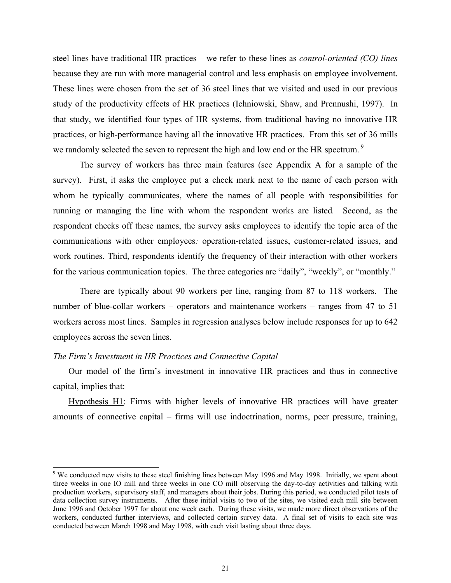steel lines have traditional HR practices – we refer to these lines as *control-oriented (CO) lines* because they are run with more managerial control and less emphasis on employee involvement. These lines were chosen from the set of 36 steel lines that we visited and used in our previous study of the productivity effects of HR practices (Ichniowski, Shaw, and Prennushi, 1997). In that study, we identified four types of HR systems, from traditional having no innovative HR practices, or high-performance having all the innovative HR practices. From this set of 36 mills we randomly selected the seven to represent the high and low end or the HR spectrum.<sup>9</sup>

The survey of workers has three main features (see Appendix A for a sample of the survey). First, it asks the employee put a check mark next to the name of each person with whom he typically communicates, where the names of all people with responsibilities for running or managing the line with whom the respondent works are listed*.* Second, as the respondent checks off these names, the survey asks employees to identify the topic area of the communications with other employees*:* operation-related issues, customer-related issues, and work routines. Third, respondents identify the frequency of their interaction with other workers for the various communication topics. The three categories are "daily", "weekly", or "monthly."

There are typically about 90 workers per line, ranging from 87 to 118 workers. The number of blue-collar workers – operators and maintenance workers – ranges from 47 to 51 workers across most lines. Samples in regression analyses below include responses for up to 642 employees across the seven lines.

#### *The Firm's Investment in HR Practices and Connective Capital*

Our model of the firm's investment in innovative HR practices and thus in connective capital, implies that:

Hypothesis H1: Firms with higher levels of innovative HR practices will have greater amounts of connective capital – firms will use indoctrination, norms, peer pressure, training,

<span id="page-20-0"></span> <sup>9</sup> We conducted new visits to these steel finishing lines between May 1996 and May 1998. Initially, we spent about three weeks in one IO mill and three weeks in one CO mill observing the day-to-day activities and talking with production workers, supervisory staff, and managers about their jobs. During this period, we conducted pilot tests of data collection survey instruments. After these initial visits to two of the sites, we visited each mill site between June 1996 and October 1997 for about one week each. During these visits, we made more direct observations of the workers, conducted further interviews, and collected certain survey data. A final set of visits to each site was conducted between March 1998 and May 1998, with each visit lasting about three days.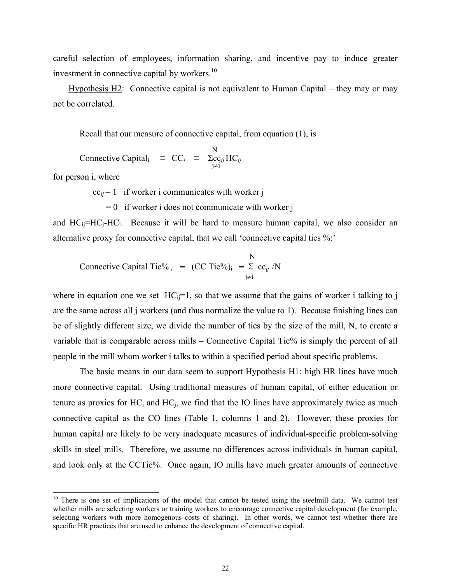careful selection of employees, information sharing, and incentive pay to induce greater investment in connective capital by workers.<sup>10</sup>

Hypothesis H2: Connective capital is not equivalent to Human Capital – they may or may not be correlated.

Recall that our measure of connective capital, from equation (1), is

N Connective Capital<sub>i</sub> =  $CC_i$  =  $\sum_{i}$  $\sum_{j}$  $\sum_{j}$  $j \neq i$ 

for person i, where

 $\overline{\phantom{a}}$ 

 $cc_{ij} = 1$  if worker i communicates with worker j

 $= 0$  if worker i does not communicate with worker j

and  $HC_{ii} = HC_i - HC_i$ . Because it will be hard to measure human capital, we also consider an alternative proxy for connective capital, that we call 'connective capital ties %:'

 N Connective Capital Tie%  $i \equiv (CC$  Tie%)<sub>i</sub>  $\equiv \Sigma$  cc<sub>ij</sub> /N j≠i

where in equation one we set  $HC_{ii}=1$ , so that we assume that the gains of worker i talking to j are the same across all j workers (and thus normalize the value to 1). Because finishing lines can be of slightly different size, we divide the number of ties by the size of the mill, N, to create a variable that is comparable across mills – Connective Capital Tie% is simply the percent of all people in the mill whom worker i talks to within a specified period about specific problems.

The basic means in our data seem to support Hypothesis H1: high HR lines have much more connective capital. Using traditional measures of human capital, of either education or tenure as proxies for  $HC_i$  and  $HC_i$ , we find that the IO lines have approximately twice as much connective capital as the CO lines (Table 1, columns 1 and 2). However, these proxies for human capital are likely to be very inadequate measures of individual-specific problem-solving skills in steel mills. Therefore, we assume no differences across individuals in human capital, and look only at the CCTie%. Once again, IO mills have much greater amounts of connective

<span id="page-21-0"></span> $10$  There is one set of implications of the model that cannot be tested using the steelmill data. We cannot test whether mills are selecting workers or training workers to encourage connective capital development (for example, selecting workers with more homogenous costs of sharing). In other words, we cannot test whether there are specific HR practices that are used to enhance the development of connective capital.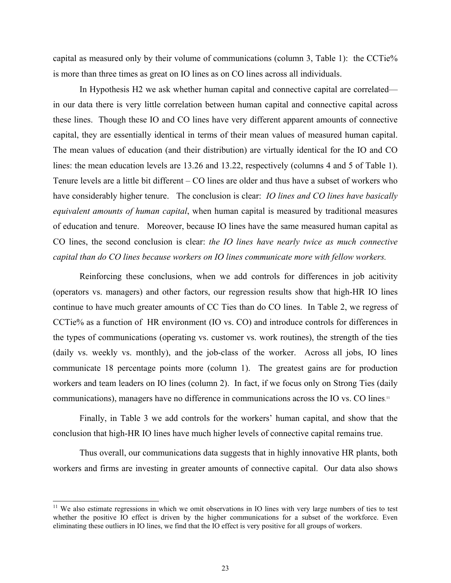capital as measured only by their volume of communications (column 3, Table 1): the CCTie% is more than three times as great on IO lines as on CO lines across all individuals.

In Hypothesis H2 we ask whether human capital and connective capital are correlated in our data there is very little correlation between human capital and connective capital across these lines. Though these IO and CO lines have very different apparent amounts of connective capital, they are essentially identical in terms of their mean values of measured human capital. The mean values of education (and their distribution) are virtually identical for the IO and CO lines: the mean education levels are 13.26 and 13.22, respectively (columns 4 and 5 of Table 1). Tenure levels are a little bit different – CO lines are older and thus have a subset of workers who have considerably higher tenure. The conclusion is clear: *IO lines and CO lines have basically equivalent amounts of human capital*, when human capital is measured by traditional measures of education and tenure. Moreover, because IO lines have the same measured human capital as CO lines, the second conclusion is clear: *the IO lines have nearly twice as much connective capital than do CO lines because workers on IO lines communicate more with fellow workers.*

Reinforcing these conclusions, when we add controls for differences in job acitivity (operators vs. managers) and other factors, our regression results show that high-HR IO lines continue to have much greater amounts of CC Ties than do CO lines. In Table 2, we regress of CCTie% as a function of HR environment (IO vs. CO) and introduce controls for differences in the types of communications (operating vs. customer vs. work routines), the strength of the ties (daily vs. weekly vs. monthly), and the job-class of the worker. Across all jobs, IO lines communicate 18 percentage points more (column 1). The greatest gains are for production workers and team leaders on IO lines (column 2). In fact, if we focus only on Strong Ties (daily communications), managers have no difference in communications across the IO vs. CO lines. [11](#page-22-0) 

Finally, in Table 3 we add controls for the workers' human capital, and show that the conclusion that high-HR IO lines have much higher levels of connective capital remains true.

Thus overall, our communications data suggests that in highly innovative HR plants, both workers and firms are investing in greater amounts of connective capital. Our data also shows

<span id="page-22-0"></span> $11$  We also estimate regressions in which we omit observations in IO lines with very large numbers of ties to test whether the positive IO effect is driven by the higher communications for a subset of the workforce. Even eliminating these outliers in IO lines, we find that the IO effect is very positive for all groups of workers.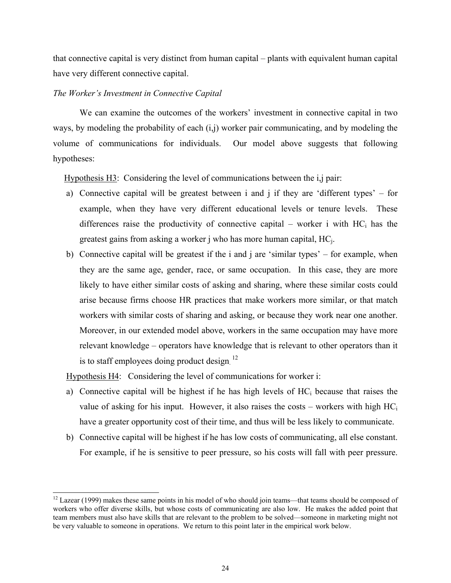that connective capital is very distinct from human capital – plants with equivalent human capital have very different connective capital.

#### *The Worker's Investment in Connective Capital*

We can examine the outcomes of the workers' investment in connective capital in two ways, by modeling the probability of each (i,j) worker pair communicating, and by modeling the volume of communications for individuals. Our model above suggests that following hypotheses:

Hypothesis H3: Considering the level of communications between the i,j pair:

- a) Connective capital will be greatest between i and j if they are 'different types' for example, when they have very different educational levels or tenure levels. These differences raise the productivity of connective capital – worker i with  $HC<sub>i</sub>$  has the greatest gains from asking a worker j who has more human capital, HCj.
- b) Connective capital will be greatest if the i and j are 'similar types' for example, when they are the same age, gender, race, or same occupation. In this case, they are more likely to have either similar costs of asking and sharing, where these similar costs could arise because firms choose HR practices that make workers more similar, or that match workers with similar costs of sharing and asking, or because they work near one another. Moreover, in our extended model above, workers in the same occupation may have more relevant knowledge – operators have knowledge that is relevant to other operators than it is to staff employees doing product design.<sup>12</sup>

Hypothesis H4: Considering the level of communications for worker i:

- a) Connective capital will be highest if he has high levels of  $HC<sub>i</sub>$  because that raises the value of asking for his input. However, it also raises the costs – workers with high  $HC_i$ have a greater opportunity cost of their time, and thus will be less likely to communicate.
- b) Connective capital will be highest if he has low costs of communicating, all else constant. For example, if he is sensitive to peer pressure, so his costs will fall with peer pressure.

<span id="page-23-0"></span> $12$  Lazear (1999) makes these same points in his model of who should join teams—that teams should be composed of workers who offer diverse skills, but whose costs of communicating are also low. He makes the added point that team members must also have skills that are relevant to the problem to be solved—someone in marketing might not be very valuable to someone in operations. We return to this point later in the empirical work below.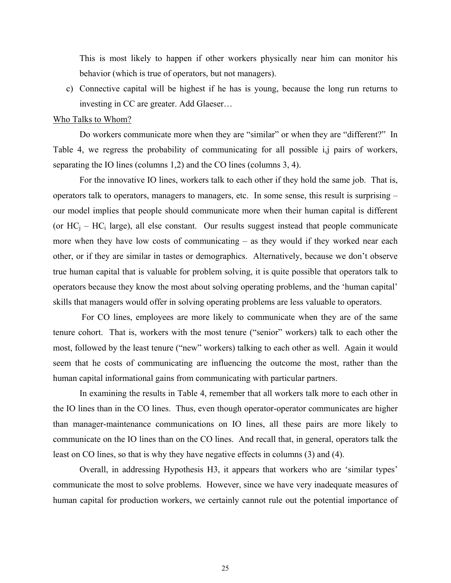This is most likely to happen if other workers physically near him can monitor his behavior (which is true of operators, but not managers).

c) Connective capital will be highest if he has is young, because the long run returns to investing in CC are greater. Add Glaeser…

#### Who Talks to Whom?

Do workers communicate more when they are "similar" or when they are "different?" In Table 4, we regress the probability of communicating for all possible i,j pairs of workers, separating the IO lines (columns 1,2) and the CO lines (columns 3, 4).

For the innovative IO lines, workers talk to each other if they hold the same job. That is, operators talk to operators, managers to managers, etc. In some sense, this result is surprising – our model implies that people should communicate more when their human capital is different (or  $HC_i - HC_i$  large), all else constant. Our results suggest instead that people communicate more when they have low costs of communicating – as they would if they worked near each other, or if they are similar in tastes or demographics. Alternatively, because we don't observe true human capital that is valuable for problem solving, it is quite possible that operators talk to operators because they know the most about solving operating problems, and the 'human capital' skills that managers would offer in solving operating problems are less valuable to operators.

For CO lines, employees are more likely to communicate when they are of the same tenure cohort. That is, workers with the most tenure ("senior" workers) talk to each other the most, followed by the least tenure ("new" workers) talking to each other as well. Again it would seem that he costs of communicating are influencing the outcome the most, rather than the human capital informational gains from communicating with particular partners.

In examining the results in Table 4, remember that all workers talk more to each other in the IO lines than in the CO lines. Thus, even though operator-operator communicates are higher than manager-maintenance communications on IO lines, all these pairs are more likely to communicate on the IO lines than on the CO lines. And recall that, in general, operators talk the least on CO lines, so that is why they have negative effects in columns (3) and (4).

Overall, in addressing Hypothesis H3, it appears that workers who are 'similar types' communicate the most to solve problems. However, since we have very inadequate measures of human capital for production workers, we certainly cannot rule out the potential importance of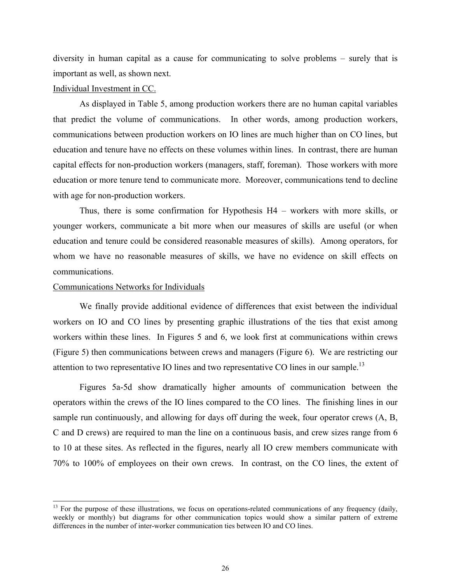diversity in human capital as a cause for communicating to solve problems – surely that is important as well, as shown next.

## Individual Investment in CC.

As displayed in Table 5, among production workers there are no human capital variables that predict the volume of communications. In other words, among production workers, communications between production workers on IO lines are much higher than on CO lines, but education and tenure have no effects on these volumes within lines. In contrast, there are human capital effects for non-production workers (managers, staff, foreman). Those workers with more education or more tenure tend to communicate more. Moreover, communications tend to decline with age for non-production workers.

Thus, there is some confirmation for Hypothesis H4 – workers with more skills, or younger workers, communicate a bit more when our measures of skills are useful (or when education and tenure could be considered reasonable measures of skills). Among operators, for whom we have no reasonable measures of skills, we have no evidence on skill effects on communications.

#### Communications Networks for Individuals

We finally provide additional evidence of differences that exist between the individual workers on IO and CO lines by presenting graphic illustrations of the ties that exist among workers within these lines. In Figures 5 and 6, we look first at communications within crews (Figure 5) then communications between crews and managers (Figure 6). We are restricting our attention to two representative IO lines and two representative CO lines in our sample.<sup>13</sup>

Figures 5a-5d show dramatically higher amounts of communication between the operators within the crews of the IO lines compared to the CO lines. The finishing lines in our sample run continuously, and allowing for days off during the week, four operator crews (A, B, C and D crews) are required to man the line on a continuous basis, and crew sizes range from 6 to 10 at these sites. As reflected in the figures, nearly all IO crew members communicate with 70% to 100% of employees on their own crews. In contrast, on the CO lines, the extent of

<span id="page-25-0"></span> $13$  For the purpose of these illustrations, we focus on operations-related communications of any frequency (daily, weekly or monthly) but diagrams for other communication topics would show a similar pattern of extreme differences in the number of inter-worker communication ties between IO and CO lines.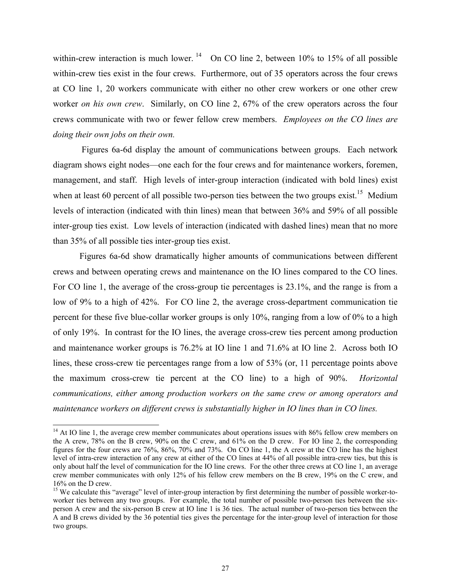within-crew interaction is much lower.  $14$  On CO line 2, between 10% to 15% of all possible within-crew ties exist in the four crews. Furthermore, out of 35 operators across the four crews at CO line 1, 20 workers communicate with either no other crew workers or one other crew worker *on his own crew*. Similarly, on CO line 2, 67% of the crew operators across the four crews communicate with two or fewer fellow crew members. *Employees on the CO lines are doing their own jobs on their own.* 

Figures 6a-6d display the amount of communications between groups. Each network diagram shows eight nodes—one each for the four crews and for maintenance workers, foremen, management, and staff. High levels of inter-group interaction (indicated with bold lines) exist when at least 60 percent of all possible two-person ties between the two groups exist.<sup>15</sup> Medium levels of interaction (indicated with thin lines) mean that between 36% and 59% of all possible inter-group ties exist. Low levels of interaction (indicated with dashed lines) mean that no more than 35% of all possible ties inter-group ties exist.

Figures 6a-6d show dramatically higher amounts of communications between different crews and between operating crews and maintenance on the IO lines compared to the CO lines. For CO line 1, the average of the cross-group tie percentages is 23.1%, and the range is from a low of 9% to a high of 42%. For CO line 2, the average cross-department communication tie percent for these five blue-collar worker groups is only 10%, ranging from a low of 0% to a high of only 19%. In contrast for the IO lines, the average cross-crew ties percent among production and maintenance worker groups is 76.2% at IO line 1 and 71.6% at IO line 2. Across both IO lines, these cross-crew tie percentages range from a low of 53% (or, 11 percentage points above the maximum cross-crew tie percent at the CO line) to a high of 90%. *Horizontal communications, either among production workers on the same crew or among operators and maintenance workers on different crews is substantially higher in IO lines than in CO lines.*

<span id="page-26-0"></span><sup>&</sup>lt;sup>14</sup> At IO line 1, the average crew member communicates about operations issues with 86% fellow crew members on the A crew, 78% on the B crew, 90% on the C crew, and 61% on the D crew. For IO line 2, the corresponding figures for the four crews are 76%, 86%, 70% and 73%. On CO line 1, the A crew at the CO line has the highest level of intra-crew interaction of any crew at either of the CO lines at 44% of all possible intra-crew ties, but this is only about half the level of communication for the IO line crews. For the other three crews at CO line 1, an average crew member communicates with only 12% of his fellow crew members on the B crew, 19% on the C crew, and 16% on the D crew.<br><sup>15</sup> We calculate this "average" level of inter-group interaction by first determining the number of possible worker-to-

<span id="page-26-1"></span>worker ties between any two groups. For example, the total number of possible two-person ties between the sixperson A crew and the six-person B crew at IO line 1 is 36 ties. The actual number of two-person ties between the A and B crews divided by the 36 potential ties gives the percentage for the inter-group level of interaction for those two groups.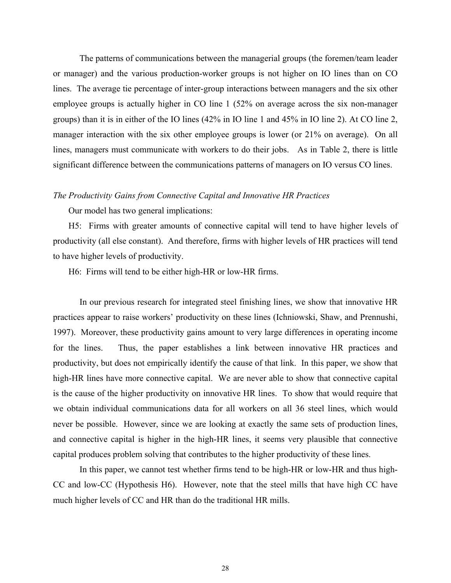The patterns of communications between the managerial groups (the foremen/team leader or manager) and the various production-worker groups is not higher on IO lines than on CO lines. The average tie percentage of inter-group interactions between managers and the six other employee groups is actually higher in CO line 1 (52% on average across the six non-manager groups) than it is in either of the IO lines (42% in IO line 1 and 45% in IO line 2). At CO line 2, manager interaction with the six other employee groups is lower (or 21% on average). On all lines, managers must communicate with workers to do their jobs. As in Table 2, there is little significant difference between the communications patterns of managers on IO versus CO lines.

#### *The Productivity Gains from Connective Capital and Innovative HR Practices*

Our model has two general implications:

H5: Firms with greater amounts of connective capital will tend to have higher levels of productivity (all else constant). And therefore, firms with higher levels of HR practices will tend to have higher levels of productivity.

H6: Firms will tend to be either high-HR or low-HR firms.

In our previous research for integrated steel finishing lines, we show that innovative HR practices appear to raise workers' productivity on these lines (Ichniowski, Shaw, and Prennushi, 1997). Moreover, these productivity gains amount to very large differences in operating income for the lines. Thus, the paper establishes a link between innovative HR practices and productivity, but does not empirically identify the cause of that link. In this paper, we show that high-HR lines have more connective capital. We are never able to show that connective capital is the cause of the higher productivity on innovative HR lines. To show that would require that we obtain individual communications data for all workers on all 36 steel lines, which would never be possible. However, since we are looking at exactly the same sets of production lines, and connective capital is higher in the high-HR lines, it seems very plausible that connective capital produces problem solving that contributes to the higher productivity of these lines.

In this paper, we cannot test whether firms tend to be high-HR or low-HR and thus high-CC and low-CC (Hypothesis H6). However, note that the steel mills that have high CC have much higher levels of CC and HR than do the traditional HR mills.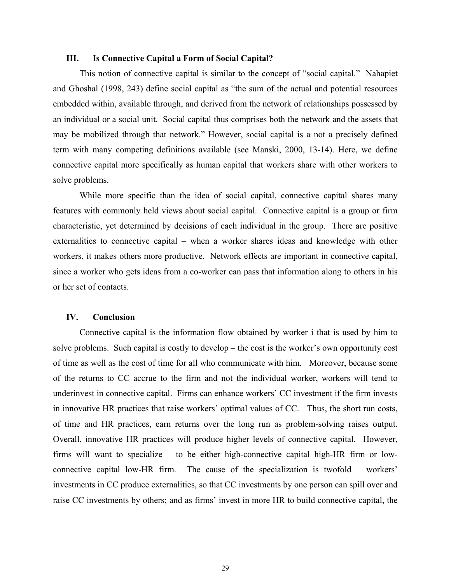#### **III. Is Connective Capital a Form of Social Capital?**

This notion of connective capital is similar to the concept of "social capital." Nahapiet and Ghoshal (1998, 243) define social capital as "the sum of the actual and potential resources embedded within, available through, and derived from the network of relationships possessed by an individual or a social unit. Social capital thus comprises both the network and the assets that may be mobilized through that network." However, social capital is a not a precisely defined term with many competing definitions available (see Manski, 2000, 13-14). Here, we define connective capital more specifically as human capital that workers share with other workers to solve problems.

While more specific than the idea of social capital, connective capital shares many features with commonly held views about social capital. Connective capital is a group or firm characteristic, yet determined by decisions of each individual in the group. There are positive externalities to connective capital – when a worker shares ideas and knowledge with other workers, it makes others more productive. Network effects are important in connective capital, since a worker who gets ideas from a co-worker can pass that information along to others in his or her set of contacts.

#### **IV. Conclusion**

Connective capital is the information flow obtained by worker i that is used by him to solve problems. Such capital is costly to develop – the cost is the worker's own opportunity cost of time as well as the cost of time for all who communicate with him. Moreover, because some of the returns to CC accrue to the firm and not the individual worker, workers will tend to underinvest in connective capital. Firms can enhance workers' CC investment if the firm invests in innovative HR practices that raise workers' optimal values of CC. Thus, the short run costs, of time and HR practices, earn returns over the long run as problem-solving raises output. Overall, innovative HR practices will produce higher levels of connective capital. However, firms will want to specialize – to be either high-connective capital high-HR firm or lowconnective capital low-HR firm. The cause of the specialization is twofold – workers' investments in CC produce externalities, so that CC investments by one person can spill over and raise CC investments by others; and as firms' invest in more HR to build connective capital, the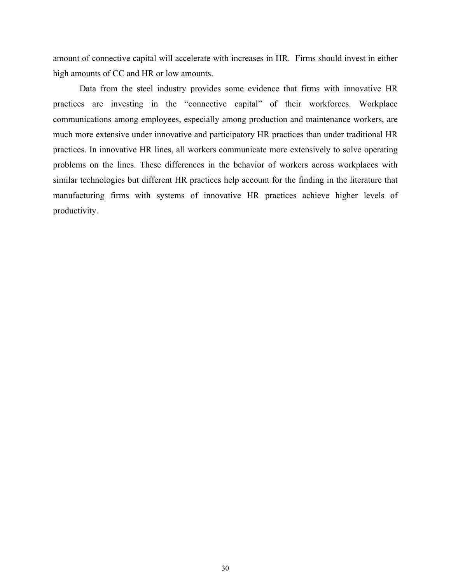amount of connective capital will accelerate with increases in HR. Firms should invest in either high amounts of CC and HR or low amounts.

Data from the steel industry provides some evidence that firms with innovative HR practices are investing in the "connective capital" of their workforces. Workplace communications among employees, especially among production and maintenance workers, are much more extensive under innovative and participatory HR practices than under traditional HR practices. In innovative HR lines, all workers communicate more extensively to solve operating problems on the lines. These differences in the behavior of workers across workplaces with similar technologies but different HR practices help account for the finding in the literature that manufacturing firms with systems of innovative HR practices achieve higher levels of productivity.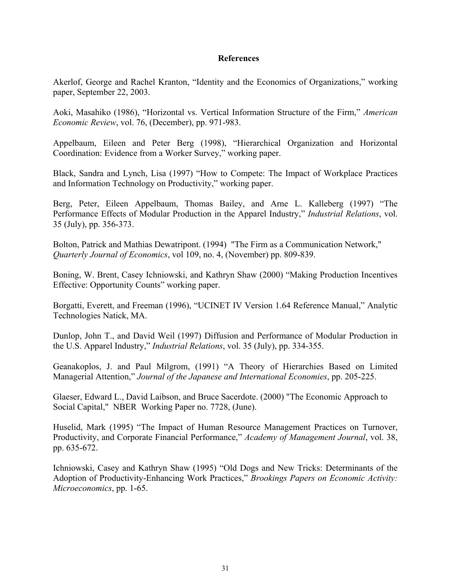## **References**

Akerlof, George and Rachel Kranton, "Identity and the Economics of Organizations," working paper, September 22, 2003.

Aoki, Masahiko (1986), "Horizontal vs. Vertical Information Structure of the Firm," *American Economic Review*, vol. 76, (December), pp. 971-983.

Appelbaum, Eileen and Peter Berg (1998), "Hierarchical Organization and Horizontal Coordination: Evidence from a Worker Survey," working paper.

Black, Sandra and Lynch, Lisa (1997) "How to Compete: The Impact of Workplace Practices and Information Technology on Productivity," working paper.

Berg, Peter, Eileen Appelbaum, Thomas Bailey, and Arne L. Kalleberg (1997) "The Performance Effects of Modular Production in the Apparel Industry," *Industrial Relations*, vol. 35 (July), pp. 356-373.

Bolton, Patrick and Mathias Dewatripont. (1994) "The Firm as a Communication Network," *Quarterly Journal of Economics*, vol 109, no. 4, (November) pp. 809-839.

Boning, W. Brent, Casey Ichniowski, and Kathryn Shaw (2000) "Making Production Incentives Effective: Opportunity Counts" working paper.

Borgatti, Everett, and Freeman (1996), "UCINET IV Version 1.64 Reference Manual," Analytic Technologies Natick, MA.

Dunlop, John T., and David Weil (1997) Diffusion and Performance of Modular Production in the U.S. Apparel Industry," *Industrial Relations*, vol. 35 (July), pp. 334-355.

Geanakoplos, J. and Paul Milgrom, (1991) "A Theory of Hierarchies Based on Limited Managerial Attention," *Journal of the Japanese and International Economies*, pp. 205-225.

Glaeser, Edward L., David Laibson, and Bruce Sacerdote. (2000) "The Economic Approach to Social Capital," NBER Working Paper no. 7728, (June).

Huselid, Mark (1995) "The Impact of Human Resource Management Practices on Turnover, Productivity, and Corporate Financial Performance," *Academy of Management Journal*, vol. 38, pp. 635-672.

Ichniowski, Casey and Kathryn Shaw (1995) "Old Dogs and New Tricks: Determinants of the Adoption of Productivity-Enhancing Work Practices," *Brookings Papers on Economic Activity: Microeconomics*, pp. 1-65.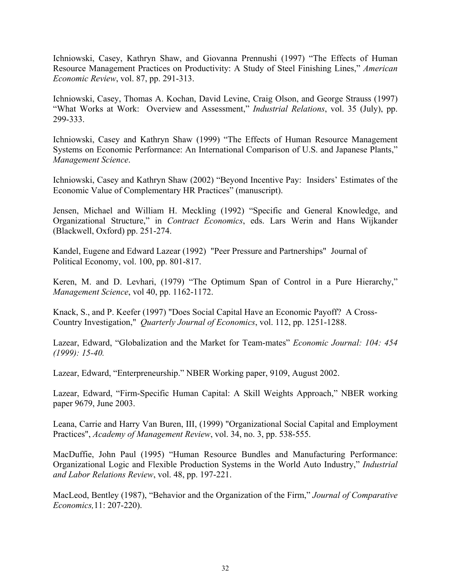Ichniowski, Casey, Kathryn Shaw, and Giovanna Prennushi (1997) "The Effects of Human Resource Management Practices on Productivity: A Study of Steel Finishing Lines," *American Economic Review*, vol. 87, pp. 291-313.

Ichniowski, Casey, Thomas A. Kochan, David Levine, Craig Olson, and George Strauss (1997) "What Works at Work: Overview and Assessment," *Industrial Relations*, vol. 35 (July), pp. 299-333.

Ichniowski, Casey and Kathryn Shaw (1999) "The Effects of Human Resource Management Systems on Economic Performance: An International Comparison of U.S. and Japanese Plants," *Management Science*.

Ichniowski, Casey and Kathryn Shaw (2002) "Beyond Incentive Pay: Insiders' Estimates of the Economic Value of Complementary HR Practices" (manuscript).

Jensen, Michael and William H. Meckling (1992) "Specific and General Knowledge, and Organizational Structure," in *Contract Economics*, eds. Lars Werin and Hans Wijkander (Blackwell, Oxford) pp. 251-274.

Kandel, Eugene and Edward Lazear (1992) "Peer Pressure and Partnerships" Journal of Political Economy, vol. 100, pp. 801-817.

Keren, M. and D. Levhari, (1979) "The Optimum Span of Control in a Pure Hierarchy," *Management Science*, vol 40, pp. 1162-1172.

Knack, S., and P. Keefer (1997) "Does Social Capital Have an Economic Payoff? A Cross-Country Investigation," *Quarterly Journal of Economics*, vol. 112, pp. 1251-1288.

Lazear, Edward, "Globalization and the Market for Team-mates" *Economic Journal: 104: 454 (1999): 15-40.* 

Lazear, Edward, "Enterpreneurship." NBER Working paper, 9109, August 2002.

Lazear, Edward, "Firm-Specific Human Capital: A Skill Weights Approach," NBER working paper 9679, June 2003.

Leana, Carrie and Harry Van Buren, III, (1999) "Organizational Social Capital and Employment Practices", *Academy of Management Review*, vol. 34, no. 3, pp. 538-555.

MacDuffie, John Paul (1995) "Human Resource Bundles and Manufacturing Performance: Organizational Logic and Flexible Production Systems in the World Auto Industry," *Industrial and Labor Relations Review*, vol. 48, pp. 197-221.

MacLeod, Bentley (1987), "Behavior and the Organization of the Firm," *Journal of Comparative Economics,*11: 207-220).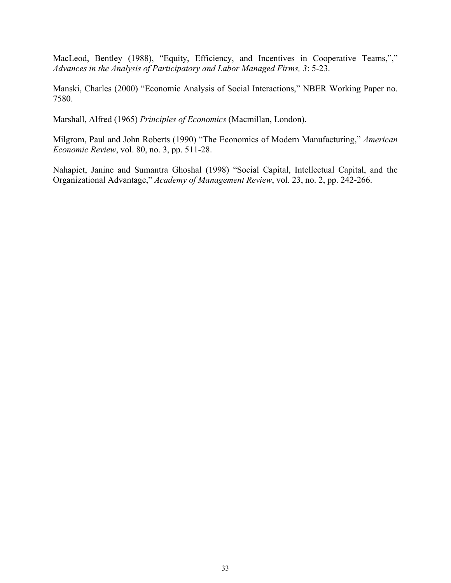MacLeod, Bentley (1988), "Equity, Efficiency, and Incentives in Cooperative Teams,"," *Advances in the Analysis of Participatory and Labor Managed Firms, 3*: 5-23.

Manski, Charles (2000) "Economic Analysis of Social Interactions," NBER Working Paper no. 7580.

Marshall, Alfred (1965) *Principles of Economics* (Macmillan, London).

Milgrom, Paul and John Roberts (1990) "The Economics of Modern Manufacturing," *American Economic Review*, vol. 80, no. 3, pp. 511-28.

Nahapiet, Janine and Sumantra Ghoshal (1998) "Social Capital, Intellectual Capital, and the Organizational Advantage," *Academy of Management Review*, vol. 23, no. 2, pp. 242-266.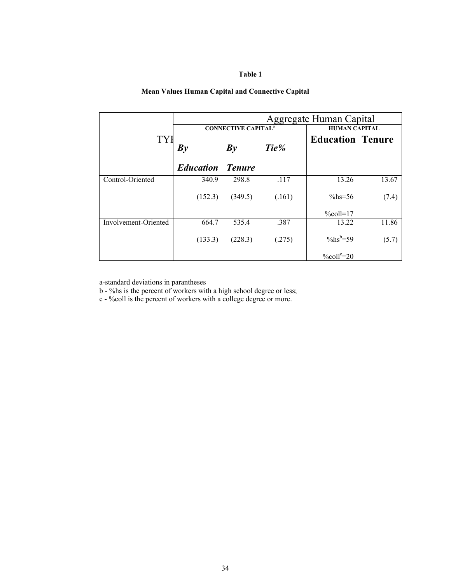#### **Table 1**

#### **Mean Values Human Capital and Connective Capital**

|                      |                  |                                       |        | Aggregate Human Capital    |       |  |  |  |
|----------------------|------------------|---------------------------------------|--------|----------------------------|-------|--|--|--|
|                      |                  | <b>CONNECTIVE CAPITAL<sup>a</sup></b> |        | <b>HUMAN CAPITAL</b>       |       |  |  |  |
| <b>TY</b>            | By               | By                                    | Tie%   | <b>Education Tenure</b>    |       |  |  |  |
|                      | <b>Education</b> | <b>Tenure</b>                         |        |                            |       |  |  |  |
| Control-Oriented     | 340.9            | 298.8                                 | .117   | 13.26                      | 13.67 |  |  |  |
|                      | (152.3)          | (349.5)                               | (.161) | $\%$ hs=56                 | (7.4) |  |  |  |
|                      |                  |                                       |        | $%$ coll=17                |       |  |  |  |
| Involvement-Oriented | 664.7            | 535.4                                 | .387   | 13.22                      | 11.86 |  |  |  |
|                      | (133.3)          | (228.3)                               | (.275) | $\%$ hs <sup>b</sup> =59   | (5.7) |  |  |  |
|                      |                  |                                       |        | $\%$ coll <sup>c</sup> =20 |       |  |  |  |

a-standard deviations in parantheses

b - %hs is the percent of workers with a high school degree or less;

c - %coll is the percent of workers with a college degree or more.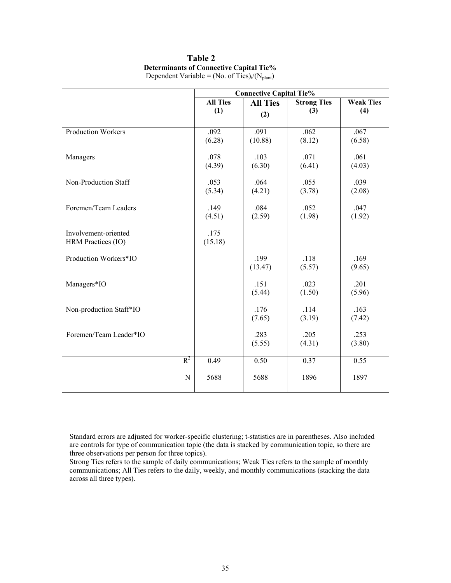# **Table 2 Determinants of Connective Capital Tie%**

|                           |                 | <b>Connective Capital Tie%</b> |                    |                  |
|---------------------------|-----------------|--------------------------------|--------------------|------------------|
|                           | <b>All Ties</b> | <b>All Ties</b>                | <b>Strong Ties</b> | <b>Weak Ties</b> |
|                           | (1)             | (2)                            | (3)                | (4)              |
|                           |                 |                                |                    |                  |
| <b>Production Workers</b> | .092            | .091                           | .062               | .067             |
|                           | (6.28)          | (10.88)                        | (8.12)             | (6.58)           |
|                           |                 |                                |                    |                  |
| Managers                  | .078            | .103                           | .071               | .061             |
|                           | (4.39)          | (6.30)                         | (6.41)             | (4.03)           |
|                           |                 |                                |                    |                  |
| Non-Production Staff      | .053            | .064                           | .055               | .039             |
|                           | (5.34)          | (4.21)                         | (3.78)             | (2.08)           |
|                           |                 |                                |                    |                  |
| Foremen/Team Leaders      | .149            | .084                           | .052               | .047             |
|                           | (4.51)          | (2.59)                         | (1.98)             | (1.92)           |
|                           |                 |                                |                    |                  |
| Involvement-oriented      | .175            |                                |                    |                  |
| HRM Practices (IO)        | (15.18)         |                                |                    |                  |
| Production Workers*IO     |                 | .199                           | .118               | .169             |
|                           |                 | (13.47)                        | (5.57)             | (9.65)           |
|                           |                 |                                |                    |                  |
| Managers*IO               |                 | .151                           | .023               | .201             |
|                           |                 | (5.44)                         | (1.50)             | (5.96)           |
|                           |                 |                                |                    |                  |
| Non-production Staff*IO   |                 | .176                           | .114               | .163             |
|                           |                 | (7.65)                         | (3.19)             | (7.42)           |
|                           |                 |                                |                    |                  |
| Foremen/Team Leader*IO    |                 | .283                           | .205               | .253             |
|                           |                 | (5.55)                         | (4.31)             | (3.80)           |
|                           |                 |                                |                    |                  |
| $R^2$                     | 0.49            | 0.50                           | 0.37               | 0.55             |
|                           |                 |                                |                    |                  |
| N                         | 5688            | 5688                           | 1896               | 1897             |
|                           |                 |                                |                    |                  |

Dependent Variable = (No. of Ties)<sub>i</sub>/(N<sub>plant</sub>)

Standard errors are adjusted for worker-specific clustering; t-statistics are in parentheses. Also included are controls for type of communication topic (the data is stacked by communication topic, so there are three observations per person for three topics).

Strong Ties refers to the sample of daily communications; Weak Ties refers to the sample of monthly communications; All Ties refers to the daily, weekly, and monthly communications (stacking the data across all three types).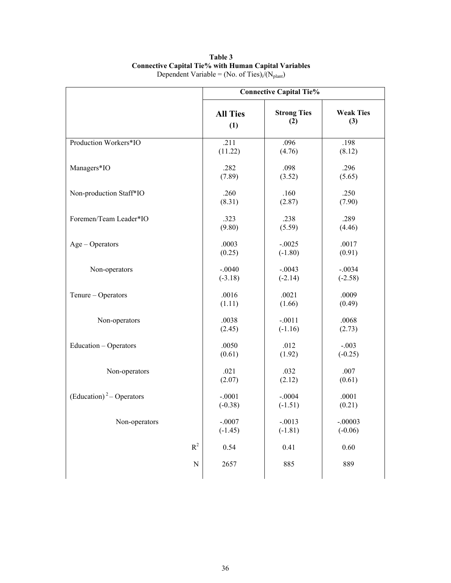|                                      |                     | <b>Connective Capital Tie%</b> |                  |
|--------------------------------------|---------------------|--------------------------------|------------------|
|                                      | <b>All Ties</b>     | <b>Strong Ties</b>             | <b>Weak Ties</b> |
|                                      | (1)                 | (2)                            | (3)              |
| Production Workers*IO                | .211                | .096                           | .198             |
|                                      | (11.22)             | (4.76)                         | (8.12)           |
| Managers*IO                          | .282                | .098                           | .296             |
|                                      | (7.89)              | (3.52)                         | (5.65)           |
| Non-production Staff*IO              | .260                | .160                           | .250             |
|                                      | (8.31)              | (2.87)                         | (7.90)           |
| Foremen/Team Leader*IO               | .323                | .238                           | .289             |
|                                      | (9.80)              | (5.59)                         | (4.46)           |
| $Age - Operators$                    | .0003               | $-.0025$                       | .0017            |
|                                      | (0.25)              | $(-1.80)$                      | (0.91)           |
| Non-operators                        | $-.0040$            | $-.0043$                       | $-.0034$         |
|                                      | $(-3.18)$           | $(-2.14)$                      | $(-2.58)$        |
| Tenure - Operators                   | .0016               | .0021                          | .0009            |
|                                      | (1.11)              | (1.66)                         | (0.49)           |
| Non-operators                        | .0038               | $-.0011$                       | .0068            |
|                                      | (2.45)              | $(-1.16)$                      | (2.73)           |
| Education - Operators                | .0050               | .012                           | $-.003$          |
|                                      | (0.61)              | (1.92)                         | $(-0.25)$        |
| Non-operators                        | .021                | .032                           | .007             |
|                                      | (2.07)              | (2.12)                         | (0.61)           |
| (Education) <sup>2</sup> – Operators | $-.0001$            | $-.0004$                       | .0001            |
|                                      | $(-0.38)$           | $(-1.51)$                      | (0.21)           |
| Non-operators                        | $-.0007$            | $-.0013$                       | $-.00003$        |
|                                      | $(-1.45)$           | $(-1.81)$                      | $(-0.06)$        |
| $R^2$                                | 0.54                | 0.41                           | 0.60             |
|                                      | 2657<br>$\mathbf N$ | 885                            | 889              |

**Table 3 Connective Capital Tie% with Human Capital Variables**  Dependent Variable = (No. of Ties)<sub>i</sub>/(N<sub>plant</sub>)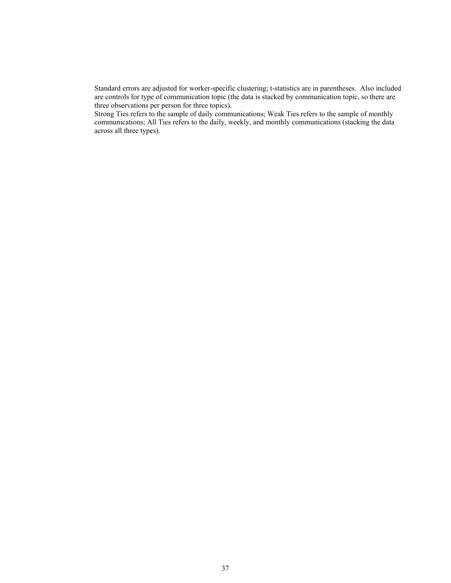Standard errors are adjusted for worker-specific clustering; t-statistics are in parentheses. Also included are controls for type of communication topic (the data is stacked by communication topic, so there are three observations per person for three topics).

Strong Ties refers to the sample of daily communications; Weak Ties refers to the sample of monthly communications; All Ties refers to the daily, weekly, and monthly communications (stacking the data across all three types).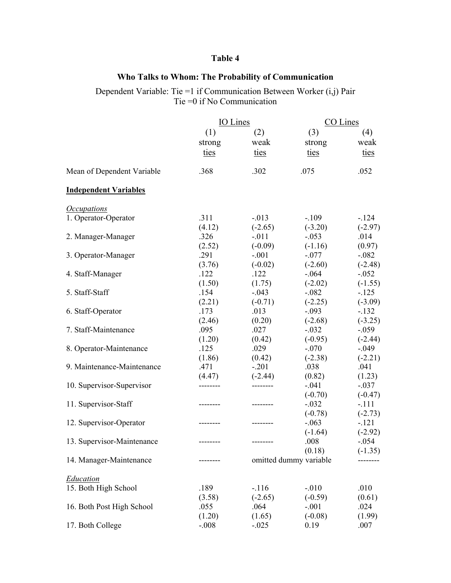# **Table 4**

## **Who Talks to Whom: The Probability of Communication**

Dependent Variable: Tie =1 if Communication Between Worker  $(i, j)$  Pair Tie =0 if No Communication

|                                  | IO Lines |           | CO Lines               |           |  |
|----------------------------------|----------|-----------|------------------------|-----------|--|
|                                  | (1)      | (2)       | (3)                    | (4)       |  |
|                                  | strong   | weak      | strong                 | weak      |  |
|                                  | ties     | ties      | ties                   | ties      |  |
|                                  |          |           |                        |           |  |
| Mean of Dependent Variable       | .368     | .302      | .075                   | .052      |  |
| <b>Independent Variables</b>     |          |           |                        |           |  |
| <i><u><b>Occupations</b></u></i> |          |           |                        |           |  |
| 1. Operator-Operator             | .311     | $-.013$   | $-.109$                | $-124$    |  |
|                                  | (4.12)   | $(-2.65)$ | $(-3.20)$              | $(-2.97)$ |  |
| 2. Manager-Manager               | .326     | $-.011$   | $-.053$                | .014      |  |
|                                  | (2.52)   | $(-0.09)$ | $(-1.16)$              | (0.97)    |  |
| 3. Operator-Manager              | .291     | $-.001$   | $-.077$                | $-.082$   |  |
|                                  | (3.76)   | $(-0.02)$ | $(-2.60)$              | $(-2.48)$ |  |
| 4. Staff-Manager                 | .122     | .122      | $-0.064$               | $-.052$   |  |
|                                  | (1.50)   | (1.75)    | $(-2.02)$              | $(-1.55)$ |  |
| 5. Staff-Staff                   | .154     | $-.043$   | $-.082$                | $-.125$   |  |
|                                  | (2.21)   | $(-0.71)$ | $(-2.25)$              | $(-3.09)$ |  |
| 6. Staff-Operator                | .173     | .013      | $-.093$                | $-.132$   |  |
|                                  | (2.46)   | (0.20)    | $(-2.68)$              | $(-3.25)$ |  |
| 7. Staff-Maintenance             | .095     | .027      | $-.032$                | $-.059$   |  |
|                                  | (1.20)   | (0.42)    | $(-0.95)$              | $(-2.44)$ |  |
| 8. Operator-Maintenance          | .125     | .029      | $-.070$                | $-.049$   |  |
|                                  | (1.86)   | (0.42)    | $(-2.38)$              | $(-2.21)$ |  |
| 9. Maintenance-Maintenance       | .471     | $-.201$   | .038                   | .041      |  |
|                                  | (4.47)   | $(-2.44)$ | (0.82)                 | (1.23)    |  |
| 10. Supervisor-Supervisor        | -------- | --------- | $-.041$                | $-.037$   |  |
|                                  |          |           | $(-0.70)$              | $(-0.47)$ |  |
| 11. Supervisor-Staff             |          |           | $-.032$                | $-.111$   |  |
|                                  |          |           | $(-0.78)$              | $(-2.73)$ |  |
| 12. Supervisor-Operator          |          |           | $-.063$                | $-.121$   |  |
|                                  |          |           | $(-1.64)$              | $(-2.92)$ |  |
| 13. Supervisor-Maintenance       |          |           | .008                   | $-.054$   |  |
|                                  |          |           | (0.18)                 | $(-1.35)$ |  |
| 14. Manager-Maintenance          |          |           | omitted dummy variable |           |  |
| <b>Education</b>                 |          |           |                        |           |  |
| 15. Both High School             | .189     | $-.116$   | $-.010$                | .010      |  |
|                                  | (3.58)   | $(-2.65)$ | $(-0.59)$              | (0.61)    |  |
| 16. Both Post High School        | .055     | .064      | $-.001$                | .024      |  |
|                                  | (1.20)   | (1.65)    | $(-0.08)$              | (1.99)    |  |
| 17. Both College                 | $-.008$  | $-.025$   | 0.19                   | .007      |  |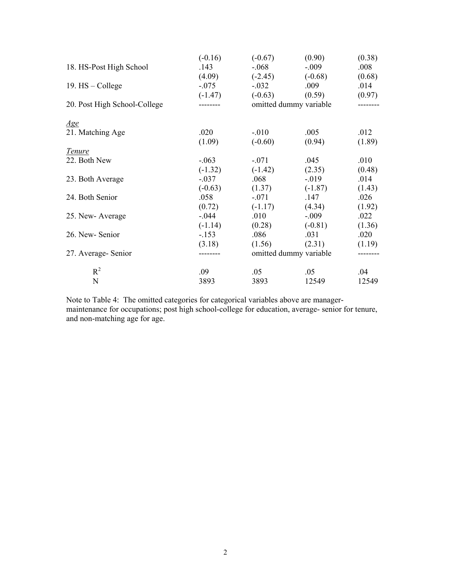|                              | $(-0.16)$ | $(-0.67)$ | (0.90)                 | (0.38)   |
|------------------------------|-----------|-----------|------------------------|----------|
| 18. HS-Post High School      | .143      | $-.068$   | $-.009$                | .008     |
|                              | (4.09)    | $(-2.45)$ | $(-0.68)$              | (0.68)   |
| 19. $HS - College$           | $-.075$   | $-.032$   | .009                   | .014     |
|                              | $(-1.47)$ | $(-0.63)$ | (0.59)                 | (0.97)   |
| 20. Post High School-College | --------  |           | omitted dummy variable | -------- |
| <u>Age</u>                   |           |           |                        |          |
| 21. Matching Age             | .020      | $-.010$   | .005                   | .012     |
|                              | (1.09)    | $(-0.60)$ | (0.94)                 | (1.89)   |
| <b>Tenure</b>                |           |           |                        |          |
| 22. Both New                 | $-.063$   | $-.071$   | .045                   | .010     |
|                              | $(-1.32)$ | $(-1.42)$ | (2.35)                 | (0.48)   |
| 23. Both Average             | $-.037$   | .068      | $-0.019$               | .014     |
|                              | $(-0.63)$ | (1.37)    | $(-1.87)$              | (1.43)   |
| 24. Both Senior              | .058      | $-.071$   | .147                   | .026     |
|                              | (0.72)    | $(-1.17)$ | (4.34)                 | (1.92)   |
| 25. New-Average              | $-0.044$  | .010      | $-.009$                | .022     |
|                              | $(-1.14)$ | (0.28)    | $(-0.81)$              | (1.36)   |
| 26. New-Senior               | $-.153$   | .086      | .031                   | .020     |
|                              | (3.18)    | (1.56)    | (2.31)                 | (1.19)   |
| 27. Average-Senior           | --------  |           | omitted dummy variable | -------- |
| $R^2$                        | .09       | .05       | .05                    | .04      |
| $\mathbf N$                  | 3893      | 3893      | 12549                  | 12549    |

Note to Table 4: The omitted categories for categorical variables above are managermaintenance for occupations; post high school-college for education, average- senior for tenure, and non-matching age for age.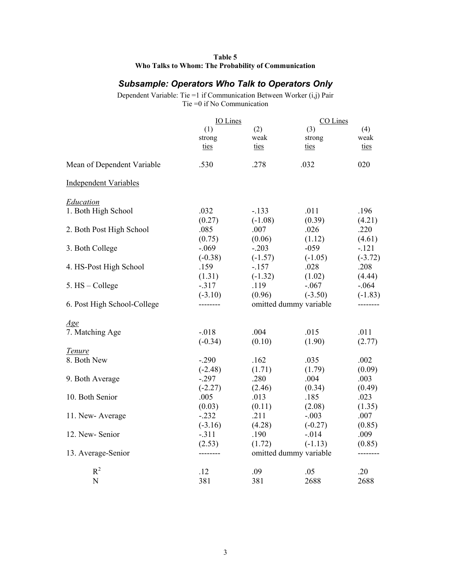| Table 5                                             |
|-----------------------------------------------------|
| Who Talks to Whom: The Probability of Communication |

# *Subsample: Operators Who Talk to Operators Only*

Dependent Variable: Tie =1 if Communication Between Worker (i,j) Pair Tie =0 if No Communication

|                              | IO Lines             |                   | CO Lines                            |                |
|------------------------------|----------------------|-------------------|-------------------------------------|----------------|
|                              | (1)                  | (2)               | (3)                                 | (4)            |
|                              | strong               | weak              | strong                              | weak           |
|                              | ties                 | ties              | ties                                | ties           |
| Mean of Dependent Variable   | .530                 | .278              | .032                                | 020            |
| <b>Independent Variables</b> |                      |                   |                                     |                |
| Education                    |                      |                   |                                     |                |
| 1. Both High School          | .032                 | $-133$            | .011                                | .196           |
| 2. Both Post High School     | (0.27)<br>.085       | $(-1.08)$<br>.007 | (0.39)<br>.026                      | (4.21)<br>.220 |
|                              | (0.75)               | (0.06)            | (1.12)                              | (4.61)         |
| 3. Both College              | $-.069$              | $-.203$           | $-059$                              | $-.121$        |
|                              | $(-0.38)$            | $(-1.57)$         | $(-1.05)$                           | $(-3.72)$      |
| 4. HS-Post High School       | .159                 | $-157$            | .028                                | .208           |
|                              | (1.31)               | $(-1.32)$         | (1.02)                              | (4.44)         |
| 5. HS - College              | $-.317$              | .119              | $-.067$                             | $-.064$        |
| 6. Post High School-College  | $(-3.10)$            | (0.96)            | $(-3.50)$<br>omitted dummy variable | $(-1.83)$      |
|                              |                      |                   |                                     |                |
| Age                          |                      |                   |                                     |                |
| 7. Matching Age              | $-.018$              | .004              | .015                                | .011           |
|                              | $(-0.34)$            | (0.10)            | (1.90)                              | (2.77)         |
| Tenure                       |                      |                   |                                     |                |
| 8. Both New                  | $-.290$              | .162              | .035                                | .002           |
|                              | $(-2.48)$            | (1.71)            | (1.79)                              | (0.09)         |
| 9. Both Average              | $-.297$<br>$(-2.27)$ | .280<br>(2.46)    | .004<br>(0.34)                      | .003<br>(0.49) |
| 10. Both Senior              | .005                 | .013              | .185                                | .023           |
|                              | (0.03)               | (0.11)            | (2.08)                              | (1.35)         |
| 11. New-Average              | $-.232$              | .211              | $-.003$                             | .007           |
|                              | $(-3.16)$            | (4.28)            | $(-0.27)$                           | (0.85)         |
| 12. New-Senior               | $-.311$              | .190              | $-.014$                             | .009           |
|                              | (2.53)               | (1.72)            | $(-1.13)$                           | (0.85)         |
| 13. Average-Senior           | --------             |                   | omitted dummy variable              | --------       |
| $R^2$                        | .12                  | .09               | .05                                 | .20            |
| N                            | 381                  | 381               | 2688                                | 2688           |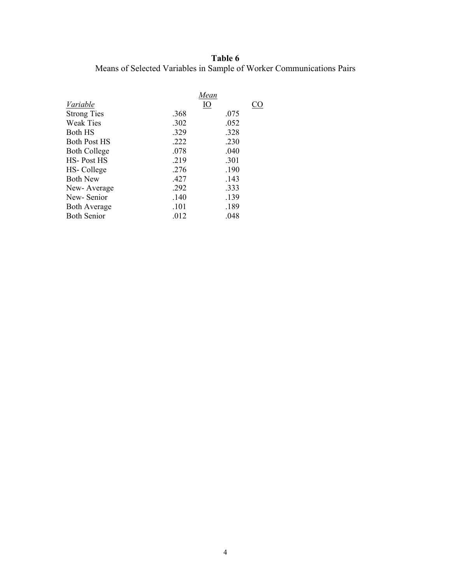# **Table 6**  Means of Selected Variables in Sample of Worker Communications Pairs

|                     |      | Mean      |  |
|---------------------|------|-----------|--|
| Variable            |      | <u>IO</u> |  |
| <b>Strong Ties</b>  | .368 | .075      |  |
| <b>Weak Ties</b>    | .302 | .052      |  |
| Both HS             | .329 | .328      |  |
| <b>Both Post HS</b> | .222 | .230      |  |
| <b>Both College</b> | .078 | .040      |  |
| HS-Post HS          | .219 | .301      |  |
| HS-College          | .276 | .190      |  |
| <b>Both New</b>     | .427 | .143      |  |
| New-Average         | .292 | .333      |  |
| New-Senior          | .140 | .139      |  |
| <b>Both Average</b> | .101 | .189      |  |
| <b>Both Senior</b>  | .012 | .048      |  |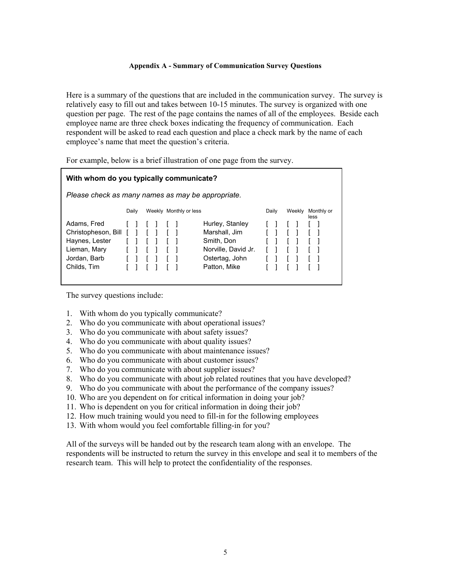#### **Appendix A - Summary of Communication Survey Questions**

Here is a summary of the questions that are included in the communication survey. The survey is relatively easy to fill out and takes between 10-15 minutes. The survey is organized with one question per page. The rest of the page contains the names of all of the employees. Beside each employee name are three check boxes indicating the frequency of communication. Each respondent will be asked to read each question and place a check mark by the name of each employee's name that meet the question's criteria.

For example, below is a brief illustration of one page from the survey.

| With whom do you typically communicate?           |  |       |  |  |  |                        |                     |  |       |        |                    |
|---------------------------------------------------|--|-------|--|--|--|------------------------|---------------------|--|-------|--------|--------------------|
| Please check as many names as may be appropriate. |  |       |  |  |  |                        |                     |  |       |        |                    |
|                                                   |  | Daily |  |  |  | Weekly Monthly or less |                     |  | Daily | Weekly | Monthly or<br>less |
| Adams, Fred                                       |  |       |  |  |  |                        | Hurley, Stanley     |  |       |        |                    |
| Christopheson, Bill                               |  |       |  |  |  |                        | Marshall, Jim       |  |       |        |                    |
| Haynes, Lester                                    |  |       |  |  |  |                        | Smith, Don          |  |       |        |                    |
| Lieman, Mary                                      |  |       |  |  |  |                        | Norville, David Jr. |  |       |        |                    |
| Jordan, Barb                                      |  |       |  |  |  |                        | Ostertag, John      |  |       |        |                    |
| Childs, Tim                                       |  |       |  |  |  |                        | Patton, Mike        |  |       |        |                    |

The survey questions include:

- 1. With whom do you typically communicate?
- 2. Who do you communicate with about operational issues?
- 3. Who do you communicate with about safety issues?
- 4. Who do you communicate with about quality issues?
- 5. Who do you communicate with about maintenance issues?
- 6. Who do you communicate with about customer issues?
- 7. Who do you communicate with about supplier issues?
- 8. Who do you communicate with about job related routines that you have developed?
- 9. Who do you communicate with about the performance of the company issues?
- 10. Who are you dependent on for critical information in doing your job?
- 11. Who is dependent on you for critical information in doing their job?
- 12. How much training would you need to fill-in for the following employees
- 13. With whom would you feel comfortable filling-in for you?

All of the surveys will be handed out by the research team along with an envelope. The respondents will be instructed to return the survey in this envelope and seal it to members of the research team. This will help to protect the confidentiality of the responses.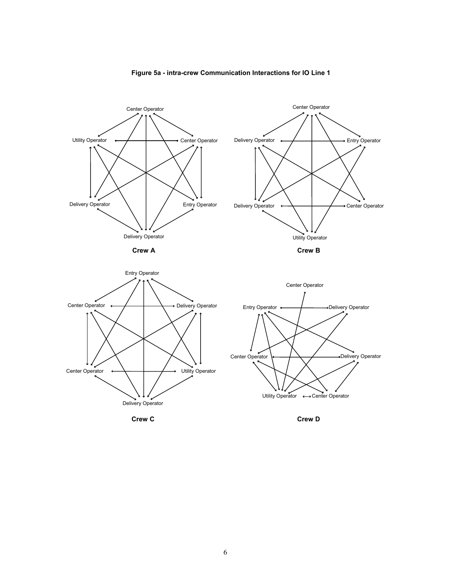

#### **Figure 5a - intra-crew Communication Interactions for IO Line 1**

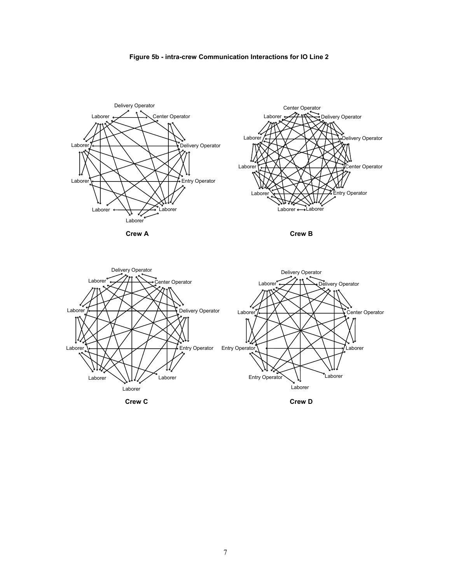



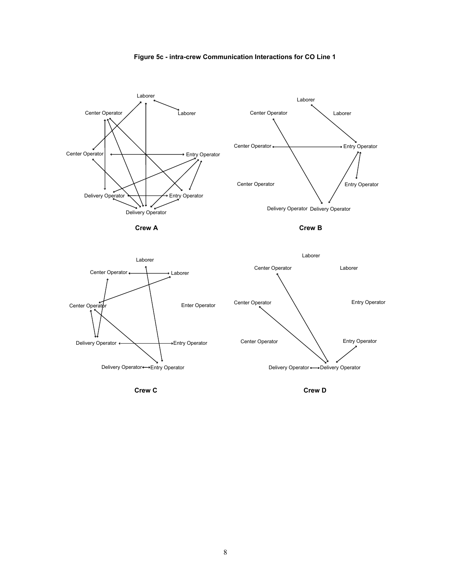







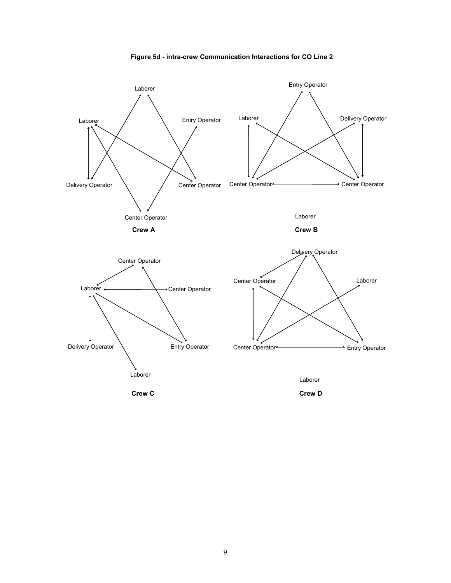

**Figure 5d - intra-crew Communication Interactions for CO Line 2**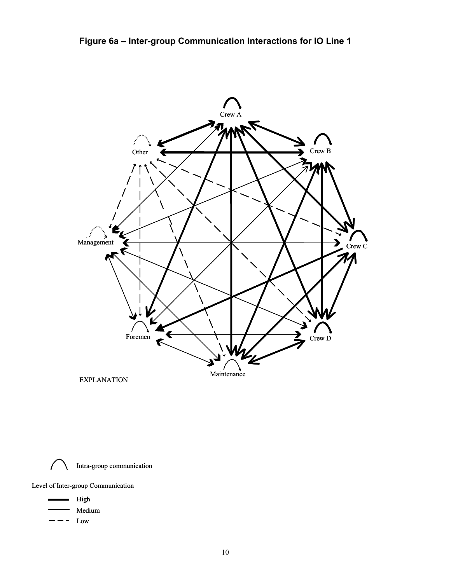

Intra-group communication

Level of Inter-group Communication

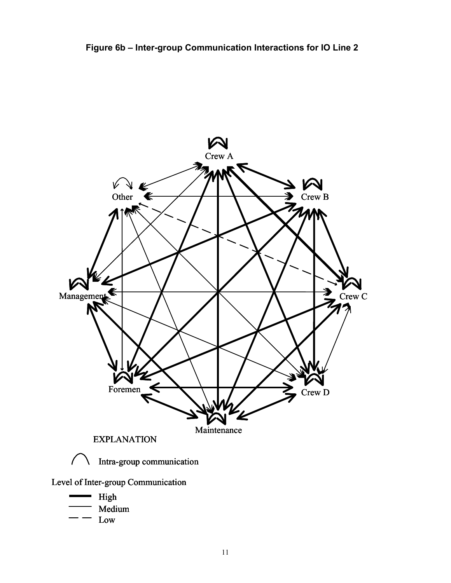

Low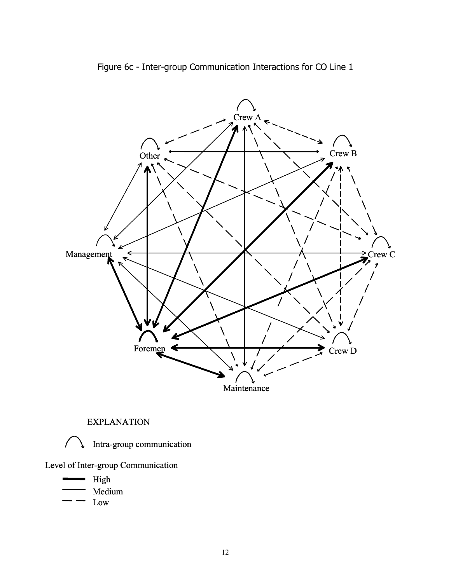

Figure 6c - Inter-group Communication Interactions for CO Line 1

EXPLANATION



Intra-group communication

Level of Inter-group Communication

High Medium

Low